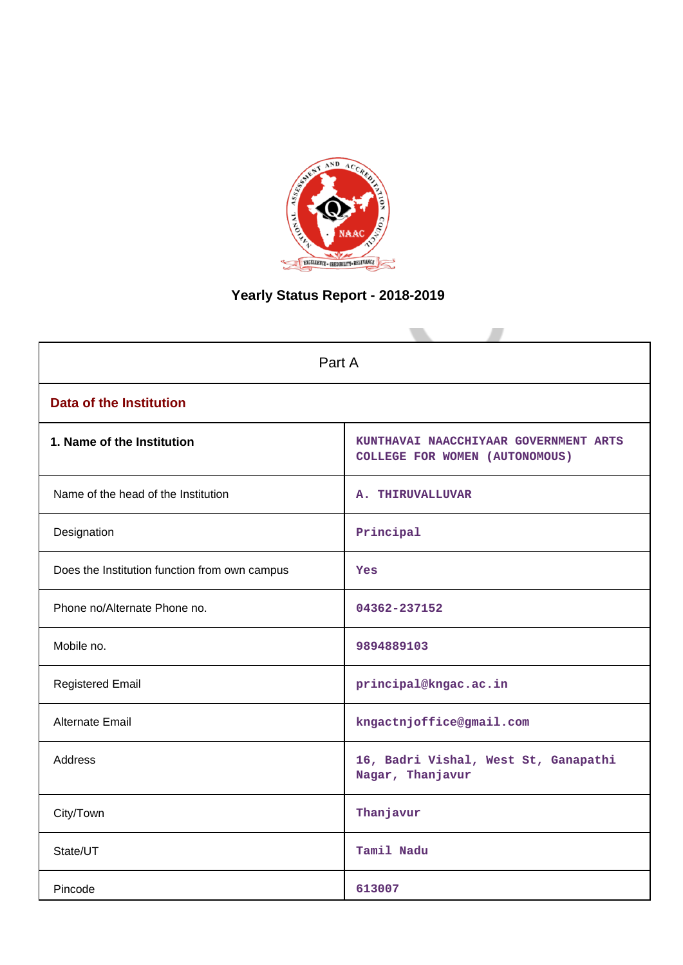

# **Yearly Status Report - 2018-2019**

| Part A                                        |                                                                         |  |  |  |  |  |  |
|-----------------------------------------------|-------------------------------------------------------------------------|--|--|--|--|--|--|
| <b>Data of the Institution</b>                |                                                                         |  |  |  |  |  |  |
| 1. Name of the Institution                    | KUNTHAVAI NAACCHIYAAR GOVERNMENT ARTS<br>COLLEGE FOR WOMEN (AUTONOMOUS) |  |  |  |  |  |  |
| Name of the head of the Institution           | A. THIRUVALLUVAR                                                        |  |  |  |  |  |  |
| Designation                                   | Principal                                                               |  |  |  |  |  |  |
| Does the Institution function from own campus | <b>Yes</b>                                                              |  |  |  |  |  |  |
| Phone no/Alternate Phone no.                  | 04362-237152                                                            |  |  |  |  |  |  |
| Mobile no.                                    | 9894889103                                                              |  |  |  |  |  |  |
| <b>Registered Email</b>                       | principal@kngac.ac.in                                                   |  |  |  |  |  |  |
| <b>Alternate Email</b>                        | kngactnjoffice@gmail.com                                                |  |  |  |  |  |  |
| <b>Address</b>                                | 16, Badri Vishal, West St, Ganapathi<br>Nagar, Thanjavur                |  |  |  |  |  |  |
| City/Town                                     | Thanjavur                                                               |  |  |  |  |  |  |
| State/UT                                      | Tamil Nadu                                                              |  |  |  |  |  |  |
| Pincode                                       | 613007                                                                  |  |  |  |  |  |  |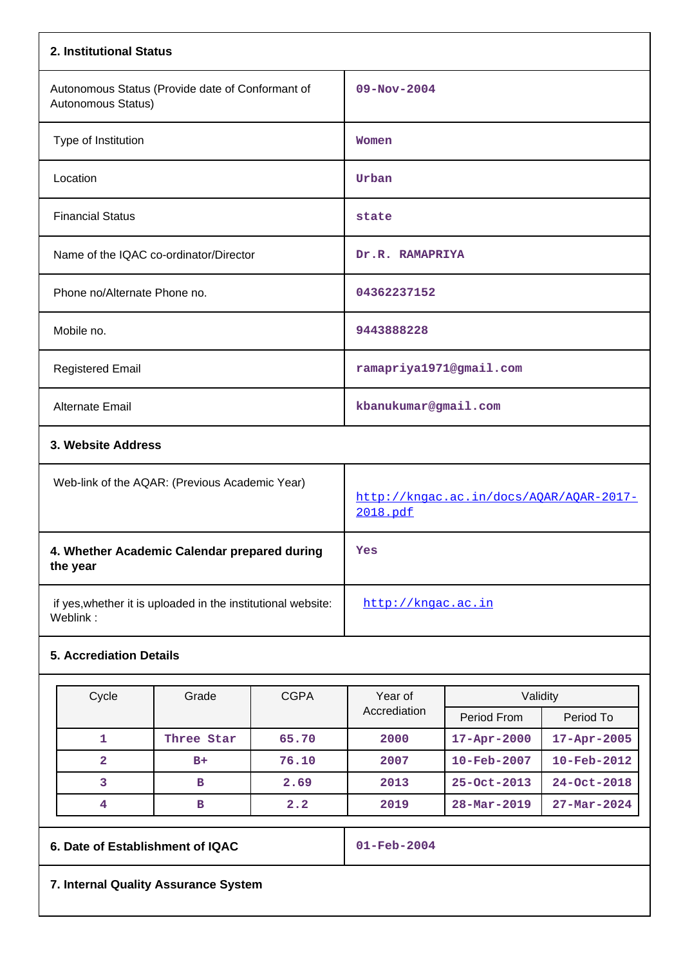| 2. Institutional Status                                                  |                                                     |
|--------------------------------------------------------------------------|-----------------------------------------------------|
| Autonomous Status (Provide date of Conformant of<br>Autonomous Status)   | $09 - Nov - 2004$                                   |
| Type of Institution                                                      | Women                                               |
| Location                                                                 | Urban                                               |
| <b>Financial Status</b>                                                  | state                                               |
| Name of the IQAC co-ordinator/Director                                   | Dr.R. RAMAPRIYA                                     |
| Phone no/Alternate Phone no.                                             | 04362237152                                         |
| Mobile no.                                                               | 9443888228                                          |
| <b>Registered Email</b>                                                  | ramapriya1971@gmail.com                             |
| Alternate Email                                                          | kbanukumar@gmail.com                                |
| 3. Website Address                                                       |                                                     |
| Web-link of the AQAR: (Previous Academic Year)                           | http://kngac.ac.in/docs/AOAR/AOAR-2017-<br>2018.pdf |
| 4. Whether Academic Calendar prepared during<br>the year                 | Yes                                                 |
| if yes, whether it is uploaded in the institutional website:<br>Weblink: | http://kngac.ac.in                                  |

# **5. Accrediation Details**

| Cycle | Grade      | <b>CGPA</b> | Year of      | Validity                 |                          |  |  |
|-------|------------|-------------|--------------|--------------------------|--------------------------|--|--|
|       |            |             | Accrediation | Period From              | Period To                |  |  |
|       | Three Star | 65.70       | 2000         | $17 - Apr - 2000$        | $17 - Apr - 2005$        |  |  |
| 2     | $B+$       | 76.10       | 2007         | $10 - \text{Feb} - 2007$ | $10 - \text{Feb} - 2012$ |  |  |
| 3     | в          | 2.69        | 2013         | $25 - Oct - 2013$        | $24 - Oct - 2018$        |  |  |
|       | в          | 2.2         | 2019         | $28 - \text{Mar} - 2019$ | $27 - \text{Mar} - 2024$ |  |  |

# **6. Date of Establishment of IQAC 01-Feb-2004**

**7. Internal Quality Assurance System**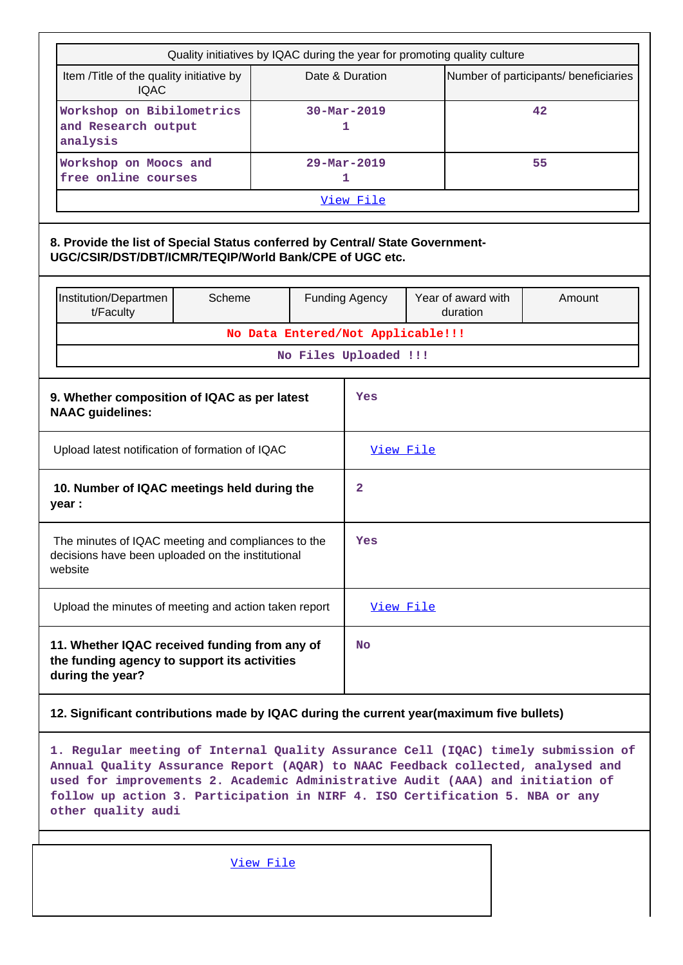|                                                                                                                                                                                                                                                                                                                                                              | Quality initiatives by IQAC during the year for promoting quality culture                     |           |                               |                                                          |           |                                |        |  |  |
|--------------------------------------------------------------------------------------------------------------------------------------------------------------------------------------------------------------------------------------------------------------------------------------------------------------------------------------------------------------|-----------------------------------------------------------------------------------------------|-----------|-------------------------------|----------------------------------------------------------|-----------|--------------------------------|--------|--|--|
| Item /Title of the quality initiative by<br><b>IQAC</b>                                                                                                                                                                                                                                                                                                      |                                                                                               |           |                               | Number of participants/ beneficiaries<br>Date & Duration |           |                                |        |  |  |
| Workshop on Bibilometrics<br>and Research output<br>analysis                                                                                                                                                                                                                                                                                                 |                                                                                               |           | $30 - \text{Mar} - 2019$<br>1 |                                                          | 42        |                                |        |  |  |
| Workshop on Moocs and<br>free online courses                                                                                                                                                                                                                                                                                                                 |                                                                                               |           |                               | $29 - \text{Mar} - 2019$<br>1                            |           |                                | 55     |  |  |
|                                                                                                                                                                                                                                                                                                                                                              |                                                                                               |           |                               | View File                                                |           |                                |        |  |  |
| 8. Provide the list of Special Status conferred by Central/ State Government-<br>UGC/CSIR/DST/DBT/ICMR/TEQIP/World Bank/CPE of UGC etc.                                                                                                                                                                                                                      |                                                                                               |           |                               |                                                          |           |                                |        |  |  |
| Institution/Departmen<br>t/Faculty                                                                                                                                                                                                                                                                                                                           | Scheme                                                                                        |           |                               | <b>Funding Agency</b>                                    |           | Year of award with<br>duration | Amount |  |  |
|                                                                                                                                                                                                                                                                                                                                                              |                                                                                               |           |                               | No Data Entered/Not Applicable!!!                        |           |                                |        |  |  |
|                                                                                                                                                                                                                                                                                                                                                              |                                                                                               |           |                               | No Files Uploaded !!!                                    |           |                                |        |  |  |
| 9. Whether composition of IQAC as per latest<br><b>NAAC</b> guidelines:                                                                                                                                                                                                                                                                                      |                                                                                               |           |                               | Yes                                                      |           |                                |        |  |  |
| Upload latest notification of formation of IQAC                                                                                                                                                                                                                                                                                                              |                                                                                               |           |                               | View File                                                |           |                                |        |  |  |
| 10. Number of IQAC meetings held during the<br>year :                                                                                                                                                                                                                                                                                                        |                                                                                               |           |                               | 2                                                        |           |                                |        |  |  |
| The minutes of IQAC meeting and compliances to the<br>decisions have been uploaded on the institutional<br>website                                                                                                                                                                                                                                           |                                                                                               |           |                               | Yes                                                      |           |                                |        |  |  |
| Upload the minutes of meeting and action taken report                                                                                                                                                                                                                                                                                                        |                                                                                               |           |                               | View File                                                |           |                                |        |  |  |
| during the year?                                                                                                                                                                                                                                                                                                                                             | 11. Whether IQAC received funding from any of<br>the funding agency to support its activities |           |                               |                                                          | <b>No</b> |                                |        |  |  |
| 12. Significant contributions made by IQAC during the current year(maximum five bullets)                                                                                                                                                                                                                                                                     |                                                                                               |           |                               |                                                          |           |                                |        |  |  |
| 1. Regular meeting of Internal Quality Assurance Cell (IQAC) timely submission of<br>Annual Quality Assurance Report (AQAR) to NAAC Feedback collected, analysed and<br>used for improvements 2. Academic Administrative Audit (AAA) and initiation of<br>follow up action 3. Participation in NIRF 4. ISO Certification 5. NBA or any<br>other quality audi |                                                                                               |           |                               |                                                          |           |                                |        |  |  |
|                                                                                                                                                                                                                                                                                                                                                              |                                                                                               | View File |                               |                                                          |           |                                |        |  |  |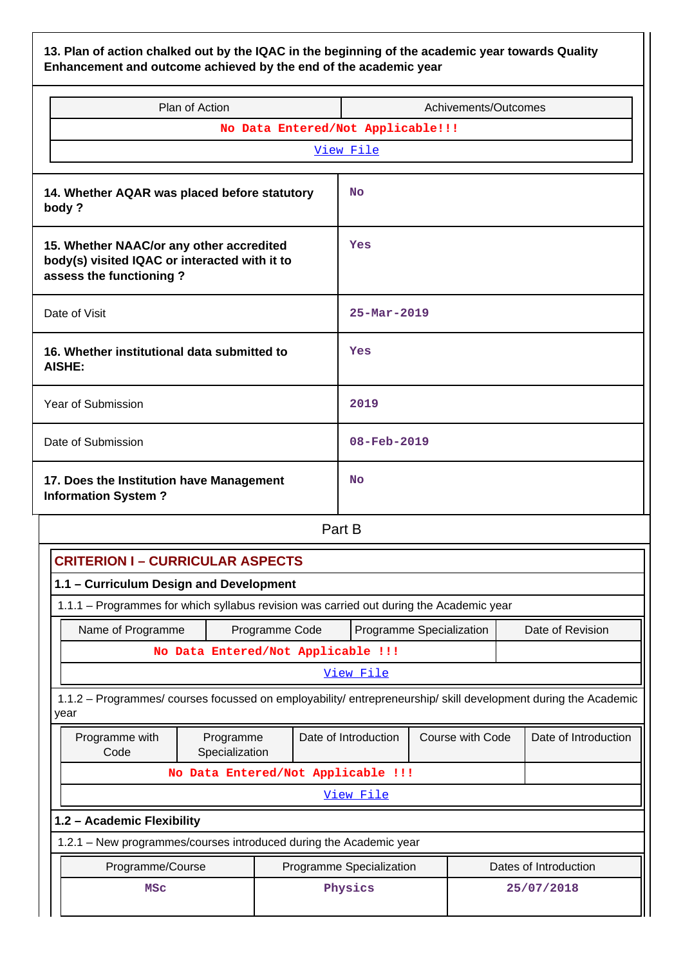**13. Plan of action chalked out by the IQAC in the beginning of the academic year towards Quality Enhancement and outcome achieved by the end of the academic year**

| Plan of Action                                                                                                       | Achivements/Outcomes     |  |  |  |  |  |  |  |  |
|----------------------------------------------------------------------------------------------------------------------|--------------------------|--|--|--|--|--|--|--|--|
| No Data Entered/Not Applicable!!!                                                                                    |                          |  |  |  |  |  |  |  |  |
| View File                                                                                                            |                          |  |  |  |  |  |  |  |  |
| 14. Whether AQAR was placed before statutory<br>body?                                                                | <b>No</b>                |  |  |  |  |  |  |  |  |
| 15. Whether NAAC/or any other accredited<br>body(s) visited IQAC or interacted with it to<br>assess the functioning? | Yes                      |  |  |  |  |  |  |  |  |
| Date of Visit                                                                                                        | $25 - \text{Mar} - 2019$ |  |  |  |  |  |  |  |  |
| 16. Whether institutional data submitted to<br>AISHE:                                                                | Yes                      |  |  |  |  |  |  |  |  |
| Year of Submission                                                                                                   | 2019                     |  |  |  |  |  |  |  |  |
| Date of Submission                                                                                                   | 08-Feb-2019              |  |  |  |  |  |  |  |  |
| 17. Does the Institution have Management<br><b>Information System?</b>                                               | <b>No</b>                |  |  |  |  |  |  |  |  |
| Part B                                                                                                               |                          |  |  |  |  |  |  |  |  |

|                                                                                         | <b>CRITERION I - CURRICULAR ASPECTS</b>                                                                        |  |                      |                          |  |                                          |                       |  |
|-----------------------------------------------------------------------------------------|----------------------------------------------------------------------------------------------------------------|--|----------------------|--------------------------|--|------------------------------------------|-----------------------|--|
| 1.1 - Curriculum Design and Development                                                 |                                                                                                                |  |                      |                          |  |                                          |                       |  |
| 1.1.1 – Programmes for which syllabus revision was carried out during the Academic year |                                                                                                                |  |                      |                          |  |                                          |                       |  |
|                                                                                         | Date of Revision<br>Name of Programme<br>Programme Specialization<br>Programme Code                            |  |                      |                          |  |                                          |                       |  |
|                                                                                         | No Data Entered/Not Applicable !!!                                                                             |  |                      |                          |  |                                          |                       |  |
|                                                                                         |                                                                                                                |  |                      | View File                |  |                                          |                       |  |
| year                                                                                    | 1.1.2 – Programmes/ courses focussed on employability/ entrepreneurship/ skill development during the Academic |  |                      |                          |  |                                          |                       |  |
| Programme with<br>Code                                                                  | Programme<br>Specialization                                                                                    |  | Date of Introduction |                          |  | Course with Code<br>Date of Introduction |                       |  |
|                                                                                         | No Data Entered/Not Applicable !!!                                                                             |  |                      |                          |  |                                          |                       |  |
|                                                                                         |                                                                                                                |  |                      | View File                |  |                                          |                       |  |
| 1.2 - Academic Flexibility                                                              |                                                                                                                |  |                      |                          |  |                                          |                       |  |
| 1.2.1 - New programmes/courses introduced during the Academic year                      |                                                                                                                |  |                      |                          |  |                                          |                       |  |
| Programme/Course                                                                        |                                                                                                                |  |                      | Programme Specialization |  |                                          | Dates of Introduction |  |
| <b>MSC</b>                                                                              |                                                                                                                |  |                      | Physics                  |  |                                          | 25/07/2018            |  |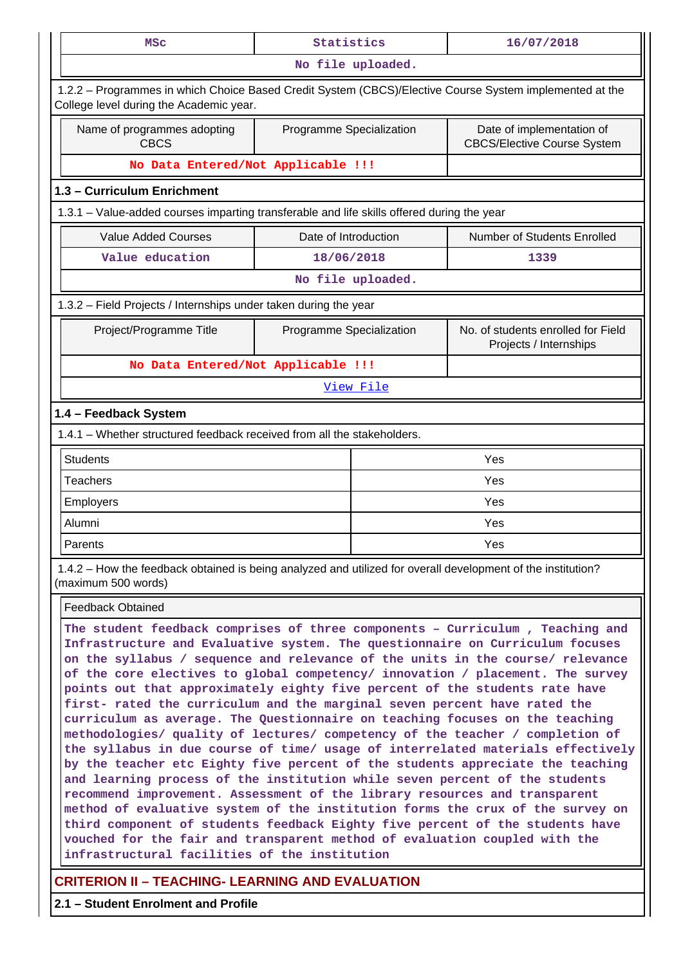| MSC                                                                                                                                                                                                                                                                                                                                                                                                                                                                                                                                                                                                                                                             | Statistics                                                                                  |                   | 16/07/2018                                                   |  |  |  |  |  |  |
|-----------------------------------------------------------------------------------------------------------------------------------------------------------------------------------------------------------------------------------------------------------------------------------------------------------------------------------------------------------------------------------------------------------------------------------------------------------------------------------------------------------------------------------------------------------------------------------------------------------------------------------------------------------------|---------------------------------------------------------------------------------------------|-------------------|--------------------------------------------------------------|--|--|--|--|--|--|
| No file uploaded.                                                                                                                                                                                                                                                                                                                                                                                                                                                                                                                                                                                                                                               |                                                                                             |                   |                                                              |  |  |  |  |  |  |
| 1.2.2 - Programmes in which Choice Based Credit System (CBCS)/Elective Course System implemented at the<br>College level during the Academic year.                                                                                                                                                                                                                                                                                                                                                                                                                                                                                                              |                                                                                             |                   |                                                              |  |  |  |  |  |  |
| Name of programmes adopting<br><b>CBCS</b>                                                                                                                                                                                                                                                                                                                                                                                                                                                                                                                                                                                                                      | Date of implementation of<br>Programme Specialization<br><b>CBCS/Elective Course System</b> |                   |                                                              |  |  |  |  |  |  |
| No Data Entered/Not Applicable !!!                                                                                                                                                                                                                                                                                                                                                                                                                                                                                                                                                                                                                              |                                                                                             |                   |                                                              |  |  |  |  |  |  |
| 1.3 - Curriculum Enrichment                                                                                                                                                                                                                                                                                                                                                                                                                                                                                                                                                                                                                                     |                                                                                             |                   |                                                              |  |  |  |  |  |  |
| 1.3.1 - Value-added courses imparting transferable and life skills offered during the year                                                                                                                                                                                                                                                                                                                                                                                                                                                                                                                                                                      |                                                                                             |                   |                                                              |  |  |  |  |  |  |
| <b>Value Added Courses</b>                                                                                                                                                                                                                                                                                                                                                                                                                                                                                                                                                                                                                                      | Date of Introduction                                                                        |                   | Number of Students Enrolled                                  |  |  |  |  |  |  |
| Value education                                                                                                                                                                                                                                                                                                                                                                                                                                                                                                                                                                                                                                                 | 18/06/2018                                                                                  |                   | 1339                                                         |  |  |  |  |  |  |
|                                                                                                                                                                                                                                                                                                                                                                                                                                                                                                                                                                                                                                                                 |                                                                                             | No file uploaded. |                                                              |  |  |  |  |  |  |
| 1.3.2 - Field Projects / Internships under taken during the year                                                                                                                                                                                                                                                                                                                                                                                                                                                                                                                                                                                                |                                                                                             |                   |                                                              |  |  |  |  |  |  |
| Project/Programme Title                                                                                                                                                                                                                                                                                                                                                                                                                                                                                                                                                                                                                                         | Programme Specialization                                                                    |                   | No. of students enrolled for Field<br>Projects / Internships |  |  |  |  |  |  |
| No Data Entered/Not Applicable !!!                                                                                                                                                                                                                                                                                                                                                                                                                                                                                                                                                                                                                              |                                                                                             |                   |                                                              |  |  |  |  |  |  |
|                                                                                                                                                                                                                                                                                                                                                                                                                                                                                                                                                                                                                                                                 |                                                                                             | View File         |                                                              |  |  |  |  |  |  |
| 1.4 - Feedback System                                                                                                                                                                                                                                                                                                                                                                                                                                                                                                                                                                                                                                           |                                                                                             |                   |                                                              |  |  |  |  |  |  |
| 1.4.1 - Whether structured feedback received from all the stakeholders.                                                                                                                                                                                                                                                                                                                                                                                                                                                                                                                                                                                         |                                                                                             |                   |                                                              |  |  |  |  |  |  |
| <b>Students</b>                                                                                                                                                                                                                                                                                                                                                                                                                                                                                                                                                                                                                                                 |                                                                                             |                   | Yes                                                          |  |  |  |  |  |  |
| <b>Teachers</b>                                                                                                                                                                                                                                                                                                                                                                                                                                                                                                                                                                                                                                                 |                                                                                             |                   | Yes                                                          |  |  |  |  |  |  |
| Employers                                                                                                                                                                                                                                                                                                                                                                                                                                                                                                                                                                                                                                                       |                                                                                             | Yes               |                                                              |  |  |  |  |  |  |
| Alumni                                                                                                                                                                                                                                                                                                                                                                                                                                                                                                                                                                                                                                                          |                                                                                             | Yes               |                                                              |  |  |  |  |  |  |
| Parents                                                                                                                                                                                                                                                                                                                                                                                                                                                                                                                                                                                                                                                         |                                                                                             | Yes               |                                                              |  |  |  |  |  |  |
| 1.4.2 – How the feedback obtained is being analyzed and utilized for overall development of the institution?<br>(maximum 500 words)                                                                                                                                                                                                                                                                                                                                                                                                                                                                                                                             |                                                                                             |                   |                                                              |  |  |  |  |  |  |
| <b>Feedback Obtained</b>                                                                                                                                                                                                                                                                                                                                                                                                                                                                                                                                                                                                                                        |                                                                                             |                   |                                                              |  |  |  |  |  |  |
| The student feedback comprises of three components - Curriculum, Teaching and<br>Infrastructure and Evaluative system. The questionnaire on Curriculum focuses<br>on the syllabus / sequence and relevance of the units in the course/ relevance<br>of the core electives to global competency/ innovation / placement. The survey<br>points out that approximately eighty five percent of the students rate have<br>first- rated the curriculum and the marginal seven percent have rated the<br>curriculum as average. The Questionnaire on teaching focuses on the teaching<br>methodologies/ quality of lectures/ competency of the teacher / completion of |                                                                                             |                   |                                                              |  |  |  |  |  |  |

**infrastructural facilities of the institution**

# **CRITERION II – TEACHING- LEARNING AND EVALUATION**

**2.1 – Student Enrolment and Profile**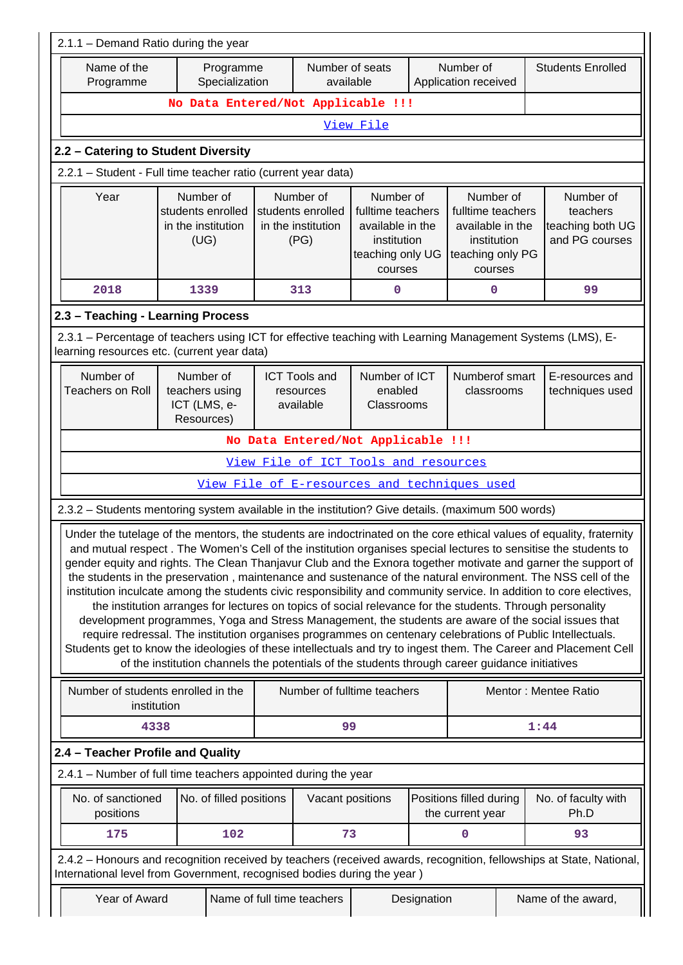|                                                                                                                                                                                                                                                                                                                                                                                                                                                                                                                                                                                                                                                                                                                                                                                                                                                                                                                                                                                                                                                                                                                                                                                                                                                               | 2.1.1 - Demand Ratio during the year                         |                             |  |                                                              |                                                                                                  |             |                                                         |  |                                                                                                                     |  |                                                             |
|---------------------------------------------------------------------------------------------------------------------------------------------------------------------------------------------------------------------------------------------------------------------------------------------------------------------------------------------------------------------------------------------------------------------------------------------------------------------------------------------------------------------------------------------------------------------------------------------------------------------------------------------------------------------------------------------------------------------------------------------------------------------------------------------------------------------------------------------------------------------------------------------------------------------------------------------------------------------------------------------------------------------------------------------------------------------------------------------------------------------------------------------------------------------------------------------------------------------------------------------------------------|--------------------------------------------------------------|-----------------------------|--|--------------------------------------------------------------|--------------------------------------------------------------------------------------------------|-------------|---------------------------------------------------------|--|---------------------------------------------------------------------------------------------------------------------|--|-------------------------------------------------------------|
| Name of the<br>Programme                                                                                                                                                                                                                                                                                                                                                                                                                                                                                                                                                                                                                                                                                                                                                                                                                                                                                                                                                                                                                                                                                                                                                                                                                                      |                                                              | Programme<br>Specialization |  | Number of seats<br>available                                 | Application received                                                                             |             | Number of                                               |  | <b>Students Enrolled</b>                                                                                            |  |                                                             |
|                                                                                                                                                                                                                                                                                                                                                                                                                                                                                                                                                                                                                                                                                                                                                                                                                                                                                                                                                                                                                                                                                                                                                                                                                                                               | No Data Entered/Not Applicable !!!                           |                             |  |                                                              |                                                                                                  |             |                                                         |  |                                                                                                                     |  |                                                             |
|                                                                                                                                                                                                                                                                                                                                                                                                                                                                                                                                                                                                                                                                                                                                                                                                                                                                                                                                                                                                                                                                                                                                                                                                                                                               | View File                                                    |                             |  |                                                              |                                                                                                  |             |                                                         |  |                                                                                                                     |  |                                                             |
| 2.2 - Catering to Student Diversity                                                                                                                                                                                                                                                                                                                                                                                                                                                                                                                                                                                                                                                                                                                                                                                                                                                                                                                                                                                                                                                                                                                                                                                                                           |                                                              |                             |  |                                                              |                                                                                                  |             |                                                         |  |                                                                                                                     |  |                                                             |
| 2.2.1 - Student - Full time teacher ratio (current year data)                                                                                                                                                                                                                                                                                                                                                                                                                                                                                                                                                                                                                                                                                                                                                                                                                                                                                                                                                                                                                                                                                                                                                                                                 |                                                              |                             |  |                                                              |                                                                                                  |             |                                                         |  |                                                                                                                     |  |                                                             |
| Year                                                                                                                                                                                                                                                                                                                                                                                                                                                                                                                                                                                                                                                                                                                                                                                                                                                                                                                                                                                                                                                                                                                                                                                                                                                          | Number of<br>students enrolled<br>in the institution<br>(UG) |                             |  | Number of<br>students enrolled<br>in the institution<br>(PG) | Number of<br>fulltime teachers<br>available in the<br>institution<br>teaching only UG<br>courses |             | Number of<br>available in the<br>institution<br>courses |  | fulltime teachers<br>teaching only PG                                                                               |  | Number of<br>teachers<br>teaching both UG<br>and PG courses |
| 2018                                                                                                                                                                                                                                                                                                                                                                                                                                                                                                                                                                                                                                                                                                                                                                                                                                                                                                                                                                                                                                                                                                                                                                                                                                                          | 1339                                                         |                             |  | 313                                                          | 0                                                                                                |             | 0                                                       |  | 99                                                                                                                  |  |                                                             |
| 2.3 - Teaching - Learning Process                                                                                                                                                                                                                                                                                                                                                                                                                                                                                                                                                                                                                                                                                                                                                                                                                                                                                                                                                                                                                                                                                                                                                                                                                             |                                                              |                             |  |                                                              |                                                                                                  |             |                                                         |  |                                                                                                                     |  |                                                             |
| 2.3.1 – Percentage of teachers using ICT for effective teaching with Learning Management Systems (LMS), E-<br>learning resources etc. (current year data)                                                                                                                                                                                                                                                                                                                                                                                                                                                                                                                                                                                                                                                                                                                                                                                                                                                                                                                                                                                                                                                                                                     |                                                              |                             |  |                                                              |                                                                                                  |             |                                                         |  |                                                                                                                     |  |                                                             |
| Number of<br><b>Teachers on Roll</b>                                                                                                                                                                                                                                                                                                                                                                                                                                                                                                                                                                                                                                                                                                                                                                                                                                                                                                                                                                                                                                                                                                                                                                                                                          | Number of<br>teachers using<br>ICT (LMS, e-<br>Resources)    |                             |  | <b>ICT Tools and</b><br>resources<br>available               | Number of ICT<br>enabled<br>Classrooms                                                           |             | Numberof smart<br>classrooms                            |  | E-resources and<br>techniques used                                                                                  |  |                                                             |
|                                                                                                                                                                                                                                                                                                                                                                                                                                                                                                                                                                                                                                                                                                                                                                                                                                                                                                                                                                                                                                                                                                                                                                                                                                                               |                                                              |                             |  |                                                              | No Data Entered/Not Applicable !!!                                                               |             |                                                         |  |                                                                                                                     |  |                                                             |
|                                                                                                                                                                                                                                                                                                                                                                                                                                                                                                                                                                                                                                                                                                                                                                                                                                                                                                                                                                                                                                                                                                                                                                                                                                                               |                                                              |                             |  |                                                              | View File of ICT Tools and resources                                                             |             |                                                         |  |                                                                                                                     |  |                                                             |
|                                                                                                                                                                                                                                                                                                                                                                                                                                                                                                                                                                                                                                                                                                                                                                                                                                                                                                                                                                                                                                                                                                                                                                                                                                                               |                                                              |                             |  |                                                              | View File of E-resources and techniques used                                                     |             |                                                         |  |                                                                                                                     |  |                                                             |
|                                                                                                                                                                                                                                                                                                                                                                                                                                                                                                                                                                                                                                                                                                                                                                                                                                                                                                                                                                                                                                                                                                                                                                                                                                                               |                                                              |                             |  |                                                              |                                                                                                  |             |                                                         |  |                                                                                                                     |  |                                                             |
| 2.3.2 - Students mentoring system available in the institution? Give details. (maximum 500 words)<br>Under the tutelage of the mentors, the students are indoctrinated on the core ethical values of equality, fraternity<br>and mutual respect. The Women's Cell of the institution organises special lectures to sensitise the students to<br>gender equity and rights. The Clean Thanjavur Club and the Exnora together motivate and garner the support of<br>the students in the preservation, maintenance and sustenance of the natural environment. The NSS cell of the<br>institution inculcate among the students civic responsibility and community service. In addition to core electives,<br>the institution arranges for lectures on topics of social relevance for the students. Through personality<br>development programmes, Yoga and Stress Management, the students are aware of the social issues that<br>require redressal. The institution organises programmes on centenary celebrations of Public Intellectuals.<br>Students get to know the ideologies of these intellectuals and try to ingest them. The Career and Placement Cell<br>of the institution channels the potentials of the students through career guidance initiatives |                                                              |                             |  |                                                              |                                                                                                  |             |                                                         |  |                                                                                                                     |  |                                                             |
| Number of students enrolled in the<br>institution                                                                                                                                                                                                                                                                                                                                                                                                                                                                                                                                                                                                                                                                                                                                                                                                                                                                                                                                                                                                                                                                                                                                                                                                             |                                                              |                             |  |                                                              | Number of fulltime teachers                                                                      |             |                                                         |  | Mentor: Mentee Ratio                                                                                                |  |                                                             |
| 4338                                                                                                                                                                                                                                                                                                                                                                                                                                                                                                                                                                                                                                                                                                                                                                                                                                                                                                                                                                                                                                                                                                                                                                                                                                                          |                                                              |                             |  | 99                                                           |                                                                                                  |             |                                                         |  | 1:44                                                                                                                |  |                                                             |
| 2.4 - Teacher Profile and Quality                                                                                                                                                                                                                                                                                                                                                                                                                                                                                                                                                                                                                                                                                                                                                                                                                                                                                                                                                                                                                                                                                                                                                                                                                             |                                                              |                             |  |                                                              |                                                                                                  |             |                                                         |  |                                                                                                                     |  |                                                             |
| 2.4.1 - Number of full time teachers appointed during the year                                                                                                                                                                                                                                                                                                                                                                                                                                                                                                                                                                                                                                                                                                                                                                                                                                                                                                                                                                                                                                                                                                                                                                                                |                                                              |                             |  |                                                              |                                                                                                  |             |                                                         |  |                                                                                                                     |  |                                                             |
| No. of sanctioned<br>positions                                                                                                                                                                                                                                                                                                                                                                                                                                                                                                                                                                                                                                                                                                                                                                                                                                                                                                                                                                                                                                                                                                                                                                                                                                |                                                              | No. of filled positions     |  | Vacant positions                                             |                                                                                                  |             | Positions filled during<br>the current year             |  | No. of faculty with<br>Ph.D                                                                                         |  |                                                             |
| 175                                                                                                                                                                                                                                                                                                                                                                                                                                                                                                                                                                                                                                                                                                                                                                                                                                                                                                                                                                                                                                                                                                                                                                                                                                                           |                                                              | 102                         |  | 73                                                           |                                                                                                  |             | 0                                                       |  | 93                                                                                                                  |  |                                                             |
| International level from Government, recognised bodies during the year)                                                                                                                                                                                                                                                                                                                                                                                                                                                                                                                                                                                                                                                                                                                                                                                                                                                                                                                                                                                                                                                                                                                                                                                       |                                                              |                             |  |                                                              |                                                                                                  |             |                                                         |  | 2.4.2 - Honours and recognition received by teachers (received awards, recognition, fellowships at State, National, |  |                                                             |
| Year of Award                                                                                                                                                                                                                                                                                                                                                                                                                                                                                                                                                                                                                                                                                                                                                                                                                                                                                                                                                                                                                                                                                                                                                                                                                                                 |                                                              |                             |  | Name of full time teachers                                   |                                                                                                  | Designation |                                                         |  | Name of the award,                                                                                                  |  |                                                             |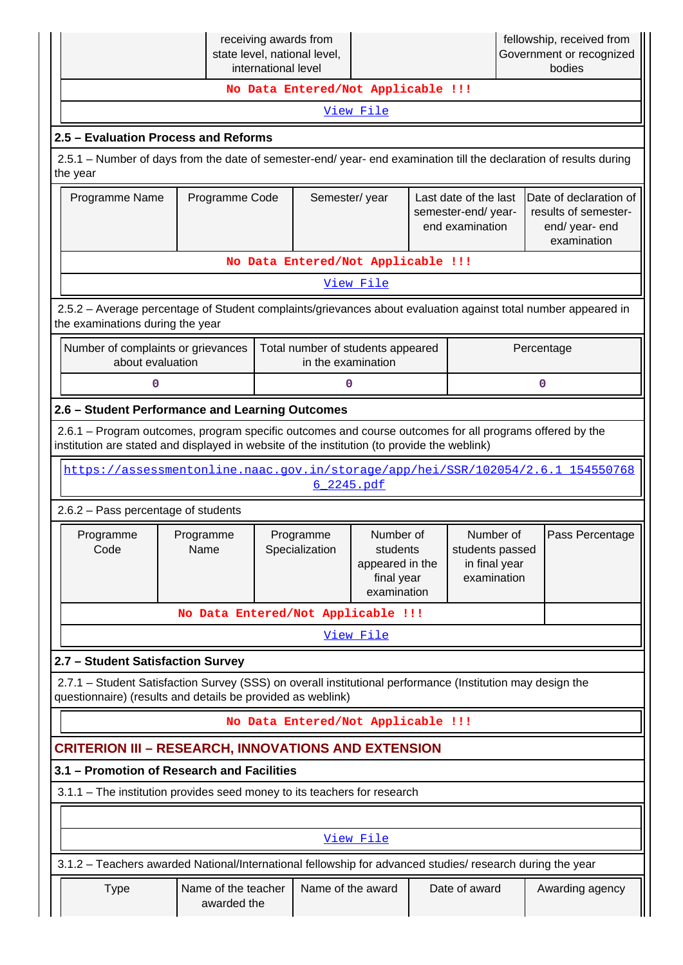|                                                                                                                                                                                                        |                                    | receiving awards from<br>state level, national level,<br>international level |                                                                       | fellowship, received from<br>Government or recognized<br>bodies |                                                                                 |                                                                                 |  |  |
|--------------------------------------------------------------------------------------------------------------------------------------------------------------------------------------------------------|------------------------------------|------------------------------------------------------------------------------|-----------------------------------------------------------------------|-----------------------------------------------------------------|---------------------------------------------------------------------------------|---------------------------------------------------------------------------------|--|--|
|                                                                                                                                                                                                        |                                    | No Data Entered/Not Applicable !!!                                           |                                                                       |                                                                 |                                                                                 |                                                                                 |  |  |
|                                                                                                                                                                                                        |                                    |                                                                              | View File                                                             |                                                                 |                                                                                 |                                                                                 |  |  |
| 2.5 - Evaluation Process and Reforms                                                                                                                                                                   |                                    |                                                                              |                                                                       |                                                                 |                                                                                 |                                                                                 |  |  |
| 2.5.1 – Number of days from the date of semester-end/ year- end examination till the declaration of results during<br>the year                                                                         |                                    |                                                                              |                                                                       |                                                                 |                                                                                 |                                                                                 |  |  |
| Programme Name                                                                                                                                                                                         | Programme Code                     |                                                                              | Semester/year                                                         | Last date of the last<br>semester-end/year-<br>end examination  | Date of declaration of<br>results of semester-<br>end/ year- end<br>examination |                                                                                 |  |  |
|                                                                                                                                                                                                        |                                    | No Data Entered/Not Applicable !!!                                           |                                                                       |                                                                 |                                                                                 |                                                                                 |  |  |
|                                                                                                                                                                                                        |                                    |                                                                              | View File                                                             |                                                                 |                                                                                 |                                                                                 |  |  |
| 2.5.2 - Average percentage of Student complaints/grievances about evaluation against total number appeared in<br>the examinations during the year                                                      |                                    |                                                                              |                                                                       |                                                                 |                                                                                 |                                                                                 |  |  |
| Number of complaints or grievances<br>about evaluation                                                                                                                                                 |                                    |                                                                              | Total number of students appeared<br>in the examination               |                                                                 |                                                                                 | Percentage                                                                      |  |  |
| 0                                                                                                                                                                                                      |                                    |                                                                              | 0                                                                     |                                                                 |                                                                                 | 0                                                                               |  |  |
| 2.6 - Student Performance and Learning Outcomes                                                                                                                                                        |                                    |                                                                              |                                                                       |                                                                 |                                                                                 |                                                                                 |  |  |
| 2.6.1 - Program outcomes, program specific outcomes and course outcomes for all programs offered by the<br>institution are stated and displayed in website of the institution (to provide the weblink) |                                    |                                                                              |                                                                       |                                                                 |                                                                                 |                                                                                 |  |  |
|                                                                                                                                                                                                        |                                    |                                                                              | 6 2245.pdf                                                            |                                                                 |                                                                                 | https://assessmentonline.naac.gov.in/storage/app/hei/SSR/102054/2.6.1 154550768 |  |  |
| 2.6.2 - Pass percentage of students                                                                                                                                                                    |                                    |                                                                              |                                                                       |                                                                 |                                                                                 |                                                                                 |  |  |
| Programme<br>Code                                                                                                                                                                                      | Programme<br>Name                  | Programme<br>Specialization                                                  | Number of<br>students<br>appeared in the<br>final year<br>examination |                                                                 | Number of<br>students passed<br>in final year<br>examination                    | Pass Percentage                                                                 |  |  |
|                                                                                                                                                                                                        | No Data Entered/Not Applicable !!! |                                                                              |                                                                       |                                                                 |                                                                                 |                                                                                 |  |  |
|                                                                                                                                                                                                        |                                    |                                                                              | View File                                                             |                                                                 |                                                                                 |                                                                                 |  |  |
| 2.7 - Student Satisfaction Survey                                                                                                                                                                      |                                    |                                                                              |                                                                       |                                                                 |                                                                                 |                                                                                 |  |  |
| 2.7.1 - Student Satisfaction Survey (SSS) on overall institutional performance (Institution may design the<br>questionnaire) (results and details be provided as weblink)                              |                                    |                                                                              |                                                                       |                                                                 |                                                                                 |                                                                                 |  |  |
|                                                                                                                                                                                                        |                                    | No Data Entered/Not Applicable !!!                                           |                                                                       |                                                                 |                                                                                 |                                                                                 |  |  |
| <b>CRITERION III - RESEARCH, INNOVATIONS AND EXTENSION</b>                                                                                                                                             |                                    |                                                                              |                                                                       |                                                                 |                                                                                 |                                                                                 |  |  |
| 3.1 - Promotion of Research and Facilities                                                                                                                                                             |                                    |                                                                              |                                                                       |                                                                 |                                                                                 |                                                                                 |  |  |
| 3.1.1 - The institution provides seed money to its teachers for research                                                                                                                               |                                    |                                                                              |                                                                       |                                                                 |                                                                                 |                                                                                 |  |  |
|                                                                                                                                                                                                        |                                    |                                                                              | View File                                                             |                                                                 |                                                                                 |                                                                                 |  |  |
| 3.1.2 - Teachers awarded National/International fellowship for advanced studies/ research during the year                                                                                              |                                    |                                                                              |                                                                       |                                                                 |                                                                                 |                                                                                 |  |  |
| <b>Type</b>                                                                                                                                                                                            | Name of the teacher<br>awarded the |                                                                              | Name of the award                                                     |                                                                 | Date of award                                                                   | Awarding agency                                                                 |  |  |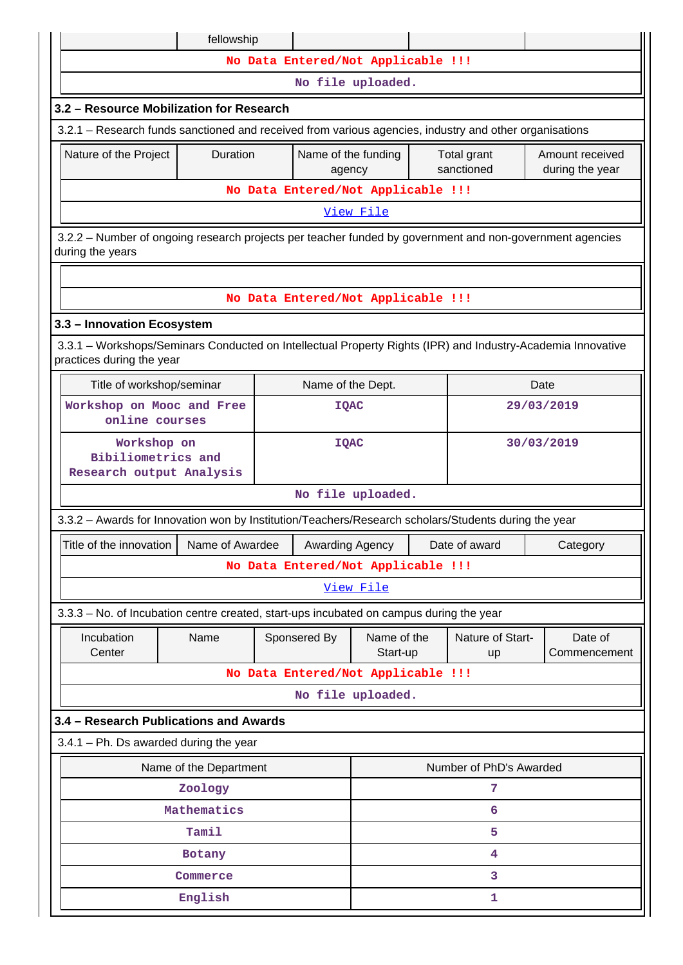|                                                                                                                                          | fellowship                                                                                                   |                                    |                         |  |                         |                         |  |  |  |  |
|------------------------------------------------------------------------------------------------------------------------------------------|--------------------------------------------------------------------------------------------------------------|------------------------------------|-------------------------|--|-------------------------|-------------------------|--|--|--|--|
|                                                                                                                                          |                                                                                                              | No Data Entered/Not Applicable !!! |                         |  |                         |                         |  |  |  |  |
|                                                                                                                                          | No file uploaded.                                                                                            |                                    |                         |  |                         |                         |  |  |  |  |
| 3.2 - Resource Mobilization for Research                                                                                                 |                                                                                                              |                                    |                         |  |                         |                         |  |  |  |  |
| 3.2.1 – Research funds sanctioned and received from various agencies, industry and other organisations                                   |                                                                                                              |                                    |                         |  |                         |                         |  |  |  |  |
| Nature of the Project                                                                                                                    | Duration<br>Name of the funding<br>Amount received<br>Total grant<br>sanctioned<br>during the year<br>agency |                                    |                         |  |                         |                         |  |  |  |  |
|                                                                                                                                          |                                                                                                              | No Data Entered/Not Applicable !!! |                         |  |                         |                         |  |  |  |  |
|                                                                                                                                          |                                                                                                              |                                    | View File               |  |                         |                         |  |  |  |  |
| 3.2.2 - Number of ongoing research projects per teacher funded by government and non-government agencies<br>during the years             |                                                                                                              |                                    |                         |  |                         |                         |  |  |  |  |
|                                                                                                                                          |                                                                                                              |                                    |                         |  |                         |                         |  |  |  |  |
|                                                                                                                                          |                                                                                                              | No Data Entered/Not Applicable !!! |                         |  |                         |                         |  |  |  |  |
| 3.3 - Innovation Ecosystem                                                                                                               |                                                                                                              |                                    |                         |  |                         |                         |  |  |  |  |
| 3.3.1 - Workshops/Seminars Conducted on Intellectual Property Rights (IPR) and Industry-Academia Innovative<br>practices during the year |                                                                                                              |                                    |                         |  |                         |                         |  |  |  |  |
| Title of workshop/seminar                                                                                                                |                                                                                                              | Name of the Dept.                  |                         |  |                         | Date                    |  |  |  |  |
| Workshop on Mooc and Free<br>online courses                                                                                              |                                                                                                              | <b>IQAC</b>                        |                         |  |                         | 29/03/2019              |  |  |  |  |
| Workshop on<br>Bibiliometrics and                                                                                                        |                                                                                                              | <b>IQAC</b>                        | 30/03/2019              |  |                         |                         |  |  |  |  |
| Research output Analysis                                                                                                                 |                                                                                                              |                                    |                         |  |                         |                         |  |  |  |  |
|                                                                                                                                          |                                                                                                              |                                    | No file uploaded.       |  |                         |                         |  |  |  |  |
| 3.3.2 - Awards for Innovation won by Institution/Teachers/Research scholars/Students during the year                                     |                                                                                                              |                                    |                         |  |                         |                         |  |  |  |  |
| Title of the innovation                                                                                                                  | Name of Awardee                                                                                              | Awarding Agency                    |                         |  | Date of award           | Category                |  |  |  |  |
|                                                                                                                                          |                                                                                                              | No Data Entered/Not Applicable !!! |                         |  |                         |                         |  |  |  |  |
|                                                                                                                                          |                                                                                                              |                                    | View File               |  |                         |                         |  |  |  |  |
| 3.3.3 - No. of Incubation centre created, start-ups incubated on campus during the year                                                  |                                                                                                              |                                    |                         |  |                         |                         |  |  |  |  |
| Incubation<br>Center                                                                                                                     | Name                                                                                                         | Sponsered By                       | Name of the<br>Start-up |  | Nature of Start-<br>up  | Date of<br>Commencement |  |  |  |  |
|                                                                                                                                          |                                                                                                              | No Data Entered/Not Applicable !!! |                         |  |                         |                         |  |  |  |  |
|                                                                                                                                          |                                                                                                              |                                    | No file uploaded.       |  |                         |                         |  |  |  |  |
| 3.4 - Research Publications and Awards                                                                                                   |                                                                                                              |                                    |                         |  |                         |                         |  |  |  |  |
| $3.4.1$ – Ph. Ds awarded during the year                                                                                                 |                                                                                                              |                                    |                         |  |                         |                         |  |  |  |  |
|                                                                                                                                          | Name of the Department                                                                                       |                                    |                         |  | Number of PhD's Awarded |                         |  |  |  |  |
|                                                                                                                                          | 7<br>Zoology                                                                                                 |                                    |                         |  |                         |                         |  |  |  |  |
|                                                                                                                                          | Mathematics<br>6                                                                                             |                                    |                         |  |                         |                         |  |  |  |  |
|                                                                                                                                          | Tamil                                                                                                        |                                    |                         |  | 5                       |                         |  |  |  |  |
|                                                                                                                                          | Botany                                                                                                       |                                    |                         |  | $\overline{4}$          |                         |  |  |  |  |
|                                                                                                                                          | Commerce                                                                                                     |                                    |                         |  | 3                       |                         |  |  |  |  |
| English<br>1                                                                                                                             |                                                                                                              |                                    |                         |  |                         |                         |  |  |  |  |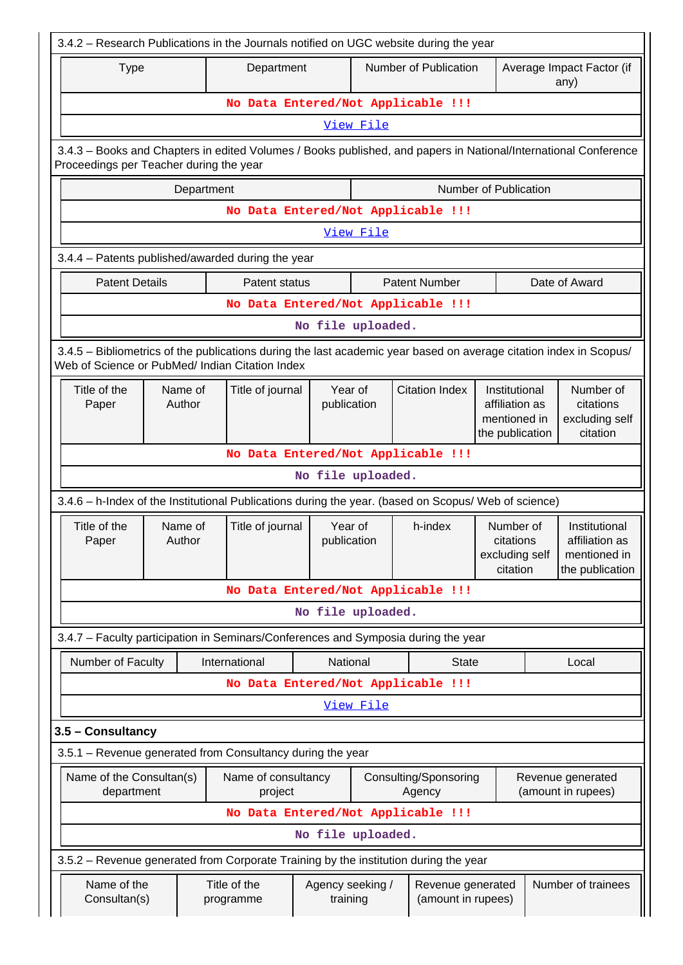| 3.4.2 - Research Publications in the Journals notified on UGC website during the year                                                                                 |        |            |                                |                              |           |                                         |                                                      |                                                                                                                            |                                                                    |  |
|-----------------------------------------------------------------------------------------------------------------------------------------------------------------------|--------|------------|--------------------------------|------------------------------|-----------|-----------------------------------------|------------------------------------------------------|----------------------------------------------------------------------------------------------------------------------------|--------------------------------------------------------------------|--|
| <b>Type</b>                                                                                                                                                           |        |            | Department                     |                              |           | Number of Publication                   |                                                      | Average Impact Factor (if<br>any)                                                                                          |                                                                    |  |
|                                                                                                                                                                       |        |            |                                |                              |           | No Data Entered/Not Applicable !!!      |                                                      |                                                                                                                            |                                                                    |  |
|                                                                                                                                                                       |        |            |                                |                              | View File |                                         |                                                      |                                                                                                                            |                                                                    |  |
| 3.4.3 – Books and Chapters in edited Volumes / Books published, and papers in National/International Conference<br>Proceedings per Teacher during the year            |        |            |                                |                              |           |                                         |                                                      |                                                                                                                            |                                                                    |  |
|                                                                                                                                                                       |        | Department |                                |                              |           |                                         | Number of Publication                                |                                                                                                                            |                                                                    |  |
|                                                                                                                                                                       |        |            |                                |                              |           | No Data Entered/Not Applicable !!!      |                                                      |                                                                                                                            |                                                                    |  |
|                                                                                                                                                                       |        |            |                                |                              | View File |                                         |                                                      |                                                                                                                            |                                                                    |  |
| 3.4.4 - Patents published/awarded during the year                                                                                                                     |        |            |                                |                              |           |                                         |                                                      |                                                                                                                            |                                                                    |  |
| <b>Patent Details</b>                                                                                                                                                 |        |            | Patent status                  |                              |           | <b>Patent Number</b>                    |                                                      |                                                                                                                            | Date of Award                                                      |  |
|                                                                                                                                                                       |        |            |                                |                              |           | No Data Entered/Not Applicable !!!      |                                                      |                                                                                                                            |                                                                    |  |
|                                                                                                                                                                       |        |            |                                | No file uploaded.            |           |                                         |                                                      |                                                                                                                            |                                                                    |  |
| 3.4.5 - Bibliometrics of the publications during the last academic year based on average citation index in Scopus/<br>Web of Science or PubMed/ Indian Citation Index |        |            |                                |                              |           |                                         |                                                      |                                                                                                                            |                                                                    |  |
| Title of the<br>Paper                                                                                                                                                 | Author | Name of    | Title of journal               | Year of<br>publication       |           | <b>Citation Index</b>                   |                                                      | Number of<br>Institutional<br>affiliation as<br>citations<br>mentioned in<br>excluding self<br>the publication<br>citation |                                                                    |  |
|                                                                                                                                                                       |        |            |                                |                              |           | No Data Entered/Not Applicable !!!      |                                                      |                                                                                                                            |                                                                    |  |
|                                                                                                                                                                       |        |            |                                | No file uploaded.            |           |                                         |                                                      |                                                                                                                            |                                                                    |  |
| 3.4.6 - h-Index of the Institutional Publications during the year. (based on Scopus/ Web of science)                                                                  |        |            |                                |                              |           |                                         |                                                      |                                                                                                                            |                                                                    |  |
| Title of the<br>Paper                                                                                                                                                 | Author | Name of    | Title of journal               | Year of<br>publication       |           | h-index                                 | Number of<br>citations<br>excluding self<br>citation |                                                                                                                            | Institutional<br>affiliation as<br>mentioned in<br>the publication |  |
|                                                                                                                                                                       |        |            |                                |                              |           | No Data Entered/Not Applicable !!!      |                                                      |                                                                                                                            |                                                                    |  |
|                                                                                                                                                                       |        |            |                                | No file uploaded.            |           |                                         |                                                      |                                                                                                                            |                                                                    |  |
| 3.4.7 - Faculty participation in Seminars/Conferences and Symposia during the year                                                                                    |        |            |                                |                              |           |                                         |                                                      |                                                                                                                            |                                                                    |  |
| Number of Faculty                                                                                                                                                     |        |            | International                  | National                     |           | <b>State</b>                            |                                                      |                                                                                                                            | Local                                                              |  |
|                                                                                                                                                                       |        |            |                                |                              |           | No Data Entered/Not Applicable !!!      |                                                      |                                                                                                                            |                                                                    |  |
|                                                                                                                                                                       |        |            |                                |                              | View File |                                         |                                                      |                                                                                                                            |                                                                    |  |
| 3.5 - Consultancy                                                                                                                                                     |        |            |                                |                              |           |                                         |                                                      |                                                                                                                            |                                                                    |  |
| 3.5.1 - Revenue generated from Consultancy during the year                                                                                                            |        |            |                                |                              |           |                                         |                                                      |                                                                                                                            |                                                                    |  |
| Name of the Consultan(s)<br>department                                                                                                                                |        |            | Name of consultancy<br>project |                              |           | Consulting/Sponsoring<br>Agency         |                                                      |                                                                                                                            | Revenue generated<br>(amount in rupees)                            |  |
|                                                                                                                                                                       |        |            |                                |                              |           | No Data Entered/Not Applicable !!!      |                                                      |                                                                                                                            |                                                                    |  |
|                                                                                                                                                                       |        |            |                                | No file uploaded.            |           |                                         |                                                      |                                                                                                                            |                                                                    |  |
| 3.5.2 - Revenue generated from Corporate Training by the institution during the year                                                                                  |        |            |                                |                              |           |                                         |                                                      |                                                                                                                            |                                                                    |  |
| Name of the<br>Consultan(s)                                                                                                                                           |        |            | Title of the<br>programme      | Agency seeking /<br>training |           | Revenue generated<br>(amount in rupees) |                                                      |                                                                                                                            | Number of trainees                                                 |  |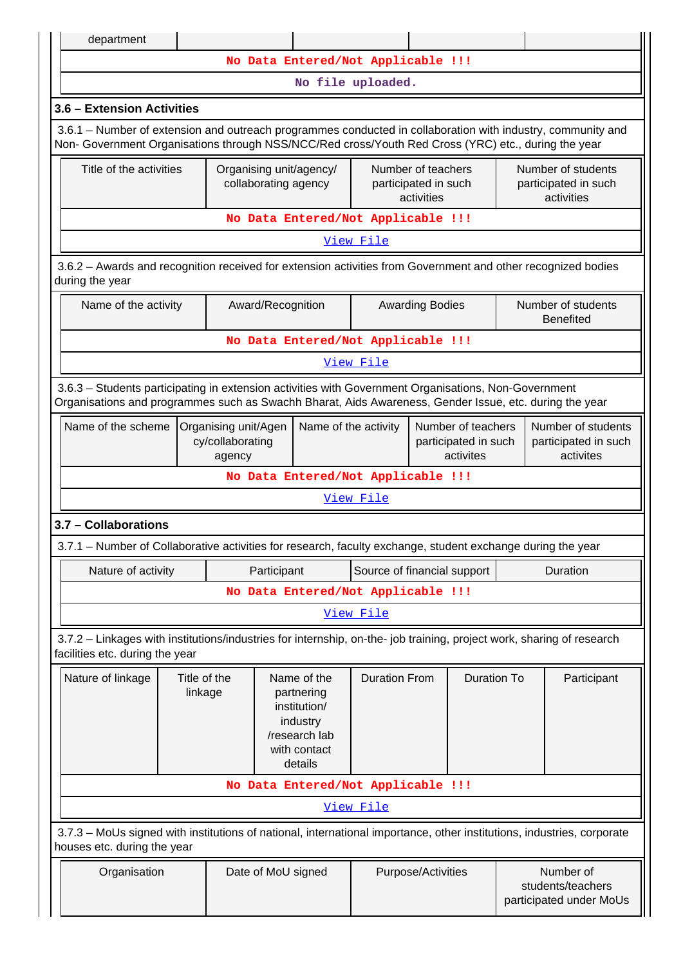**No Data Entered/Not Applicable !!!**

**No file uploaded.**

## **3.6 – Extension Activities**

 3.6.1 – Number of extension and outreach programmes conducted in collaboration with industry, community and Non- Government Organisations through NSS/NCC/Red cross/Youth Red Cross (YRC) etc., during the year

| Title of the activities            | Organising unit/agency/<br>collaborating agency | Number of teachers<br>participated in such<br>activities | Number of students<br>participated in such<br>activities |  |  |
|------------------------------------|-------------------------------------------------|----------------------------------------------------------|----------------------------------------------------------|--|--|
| No Data Entered/Not Applicable !!! |                                                 |                                                          |                                                          |  |  |

[View File](https://assessmentonline.naac.gov.in/public/Postacc/Extension/5338_Extension_1600004141.xlsx)

 3.6.2 – Awards and recognition received for extension activities from Government and other recognized bodies during the year

| Name of the activity               | Award/Recognition | <b>Awarding Bodies</b> | Number of students<br><b>Benefited</b> |  |  |
|------------------------------------|-------------------|------------------------|----------------------------------------|--|--|
| No Data Entered/Not Applicable !!! |                   |                        |                                        |  |  |
| View File                          |                   |                        |                                        |  |  |

 3.6.3 – Students participating in extension activities with Government Organisations, Non-Government Organisations and programmes such as Swachh Bharat, Aids Awareness, Gender Issue, etc. during the year

|                                                                  | cy/collaborating<br>agency<br>No Data Entered/Not Applicable !!! | participated in such   participated in such<br>activites | activites                               |  |
|------------------------------------------------------------------|------------------------------------------------------------------|----------------------------------------------------------|-----------------------------------------|--|
| Name of the scheme   Organising unit/Agen   Name of the activity |                                                                  |                                                          | Number of teachers   Number of students |  |

[View File](https://assessmentonline.naac.gov.in/public/Postacc/Students_in_extension/5338_Students_in_extension_1600484415.xlsx)

**3.7 – Collaborations**

3.7.1 – Number of Collaborative activities for research, faculty exchange, student exchange during the year

| Nature of activity                                                                                                                                       |  |  | Source of financial support<br>Participant                                                        |                                    | Duration    |  |                                                           |
|----------------------------------------------------------------------------------------------------------------------------------------------------------|--|--|---------------------------------------------------------------------------------------------------|------------------------------------|-------------|--|-----------------------------------------------------------|
| No Data Entered/Not Applicable !!!                                                                                                                       |  |  |                                                                                                   |                                    |             |  |                                                           |
|                                                                                                                                                          |  |  |                                                                                                   | <u>View File</u>                   |             |  |                                                           |
| 3.7.2 – Linkages with institutions/industries for internship, on-the- job training, project work, sharing of research<br>facilities etc. during the year |  |  |                                                                                                   |                                    |             |  |                                                           |
| Nature of linkage<br>Title of the<br>linkage                                                                                                             |  |  | Name of the<br>partnering<br>institution/<br>industry<br>/research lab<br>with contact<br>details | <b>Duration From</b>               | Duration To |  | Participant                                               |
|                                                                                                                                                          |  |  |                                                                                                   | No Data Entered/Not Applicable !!! |             |  |                                                           |
| View File                                                                                                                                                |  |  |                                                                                                   |                                    |             |  |                                                           |
| 3.7.3 - MoUs signed with institutions of national, international importance, other institutions, industries, corporate<br>houses etc. during the year    |  |  |                                                                                                   |                                    |             |  |                                                           |
| Organisation                                                                                                                                             |  |  | Date of MoU signed                                                                                | Purpose/Activities                 |             |  | Number of<br>students/teachers<br>participated under MoUs |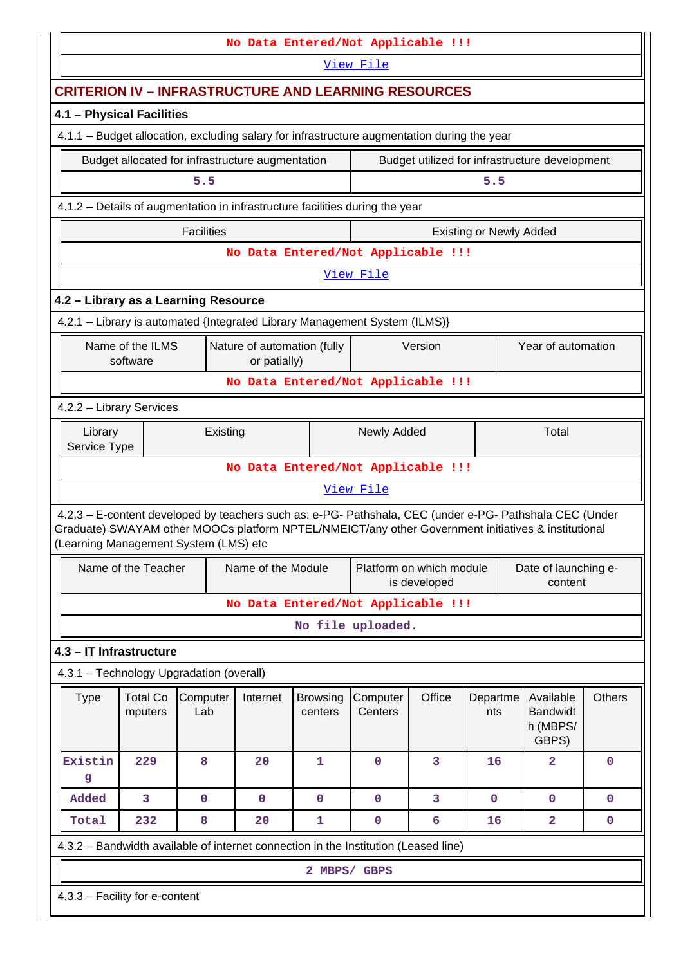|                                                                                                                                                                                                                                                         | No Data Entered/Not Applicable !!! |                                                  |                                             |                            |                                          |         |                                |                                                   |               |
|---------------------------------------------------------------------------------------------------------------------------------------------------------------------------------------------------------------------------------------------------------|------------------------------------|--------------------------------------------------|---------------------------------------------|----------------------------|------------------------------------------|---------|--------------------------------|---------------------------------------------------|---------------|
|                                                                                                                                                                                                                                                         |                                    |                                                  |                                             |                            | View File                                |         |                                |                                                   |               |
| <b>CRITERION IV – INFRASTRUCTURE AND LEARNING RESOURCES</b>                                                                                                                                                                                             |                                    |                                                  |                                             |                            |                                          |         |                                |                                                   |               |
| 4.1 - Physical Facilities                                                                                                                                                                                                                               |                                    |                                                  |                                             |                            |                                          |         |                                |                                                   |               |
| 4.1.1 - Budget allocation, excluding salary for infrastructure augmentation during the year                                                                                                                                                             |                                    |                                                  |                                             |                            |                                          |         |                                |                                                   |               |
|                                                                                                                                                                                                                                                         |                                    | Budget allocated for infrastructure augmentation |                                             |                            |                                          |         |                                | Budget utilized for infrastructure development    |               |
|                                                                                                                                                                                                                                                         |                                    | 5.5                                              |                                             |                            |                                          |         | 5.5                            |                                                   |               |
| 4.1.2 - Details of augmentation in infrastructure facilities during the year                                                                                                                                                                            |                                    |                                                  |                                             |                            |                                          |         |                                |                                                   |               |
|                                                                                                                                                                                                                                                         |                                    | <b>Facilities</b>                                |                                             |                            |                                          |         | <b>Existing or Newly Added</b> |                                                   |               |
|                                                                                                                                                                                                                                                         |                                    |                                                  |                                             |                            | No Data Entered/Not Applicable !!!       |         |                                |                                                   |               |
|                                                                                                                                                                                                                                                         |                                    |                                                  |                                             |                            | View File                                |         |                                |                                                   |               |
| 4.2 - Library as a Learning Resource                                                                                                                                                                                                                    |                                    |                                                  |                                             |                            |                                          |         |                                |                                                   |               |
| 4.2.1 - Library is automated {Integrated Library Management System (ILMS)}                                                                                                                                                                              |                                    |                                                  |                                             |                            |                                          |         |                                |                                                   |               |
|                                                                                                                                                                                                                                                         | Name of the ILMS<br>software       |                                                  | Nature of automation (fully<br>or patially) |                            |                                          | Version |                                | Year of automation                                |               |
|                                                                                                                                                                                                                                                         |                                    |                                                  |                                             |                            | No Data Entered/Not Applicable !!!       |         |                                |                                                   |               |
| 4.2.2 - Library Services                                                                                                                                                                                                                                |                                    |                                                  |                                             |                            |                                          |         |                                |                                                   |               |
| Library<br>Service Type                                                                                                                                                                                                                                 |                                    | Existing                                         |                                             |                            | Newly Added                              |         | Total                          |                                                   |               |
|                                                                                                                                                                                                                                                         |                                    |                                                  |                                             |                            | No Data Entered/Not Applicable !!!       |         |                                |                                                   |               |
|                                                                                                                                                                                                                                                         |                                    |                                                  |                                             |                            | View File                                |         |                                |                                                   |               |
| 4.2.3 - E-content developed by teachers such as: e-PG- Pathshala, CEC (under e-PG- Pathshala CEC (Under<br>Graduate) SWAYAM other MOOCs platform NPTEL/NMEICT/any other Government initiatives & institutional<br>(Learning Management System (LMS) etc |                                    |                                                  |                                             |                            |                                          |         |                                |                                                   |               |
|                                                                                                                                                                                                                                                         | Name of the Teacher                |                                                  | Name of the Module                          |                            | Platform on which module<br>is developed |         |                                | Date of launching e-<br>content                   |               |
|                                                                                                                                                                                                                                                         |                                    |                                                  |                                             |                            | No Data Entered/Not Applicable !!!       |         |                                |                                                   |               |
|                                                                                                                                                                                                                                                         |                                    |                                                  |                                             |                            | No file uploaded.                        |         |                                |                                                   |               |
| 4.3 - IT Infrastructure                                                                                                                                                                                                                                 |                                    |                                                  |                                             |                            |                                          |         |                                |                                                   |               |
| 4.3.1 - Technology Upgradation (overall)                                                                                                                                                                                                                |                                    |                                                  |                                             |                            |                                          |         |                                |                                                   |               |
| <b>Type</b>                                                                                                                                                                                                                                             | <b>Total Co</b><br>mputers         | Computer<br>Lab                                  | Internet                                    | <b>Browsing</b><br>centers | Computer<br>Centers                      | Office  | Departme<br>nts                | Available<br><b>Bandwidt</b><br>h (MBPS/<br>GBPS) | <b>Others</b> |
| Existin<br>g                                                                                                                                                                                                                                            | 229                                | 8                                                | 20                                          | 1                          | $\mathbf 0$                              | 3       | 16                             | $\overline{\mathbf{2}}$                           | $\mathbf 0$   |
| Added                                                                                                                                                                                                                                                   | 3                                  | $\overline{0}$                                   | $\mathbf 0$                                 | $\mathbf 0$                | $\mathbf 0$                              | 3       | $\mathbf 0$                    | $\mathbf 0$                                       | $\mathbf 0$   |
| Total                                                                                                                                                                                                                                                   | 232                                | 8                                                | 20                                          | 1                          | 0                                        | 6       | 16                             | $\overline{\mathbf{2}}$                           | $\mathbf 0$   |
| 4.3.2 - Bandwidth available of internet connection in the Institution (Leased line)                                                                                                                                                                     |                                    |                                                  |                                             |                            |                                          |         |                                |                                                   |               |
|                                                                                                                                                                                                                                                         |                                    |                                                  |                                             | 2 MBPS/ GBPS               |                                          |         |                                |                                                   |               |
| 4.3.3 - Facility for e-content                                                                                                                                                                                                                          |                                    |                                                  |                                             |                            |                                          |         |                                |                                                   |               |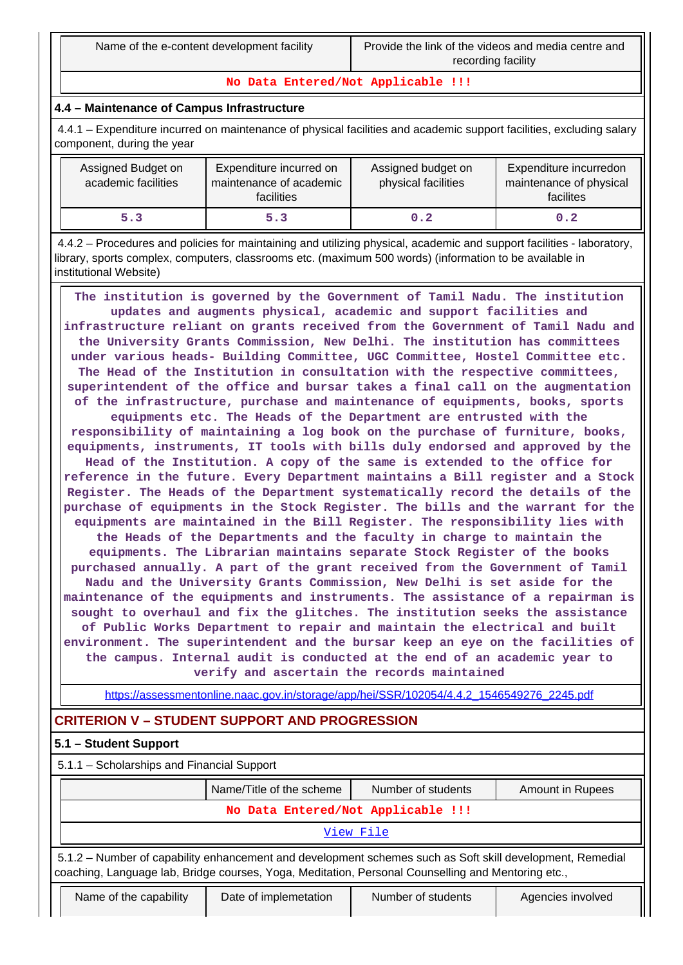**No Data Entered/Not Applicable !!!**

## **4.4 – Maintenance of Campus Infrastructure**

 4.4.1 – Expenditure incurred on maintenance of physical facilities and academic support facilities, excluding salary component, during the year

| Assigned Budget on<br>academic facilities | Expenditure incurred on<br>maintenance of academic<br><b>facilities</b> | Assigned budget on<br>physical facilities | Expenditure incurredon<br>maintenance of physical<br>facilites |
|-------------------------------------------|-------------------------------------------------------------------------|-------------------------------------------|----------------------------------------------------------------|
| 5.3                                       | 5.3                                                                     | 0.2                                       | 0.2                                                            |

 4.4.2 – Procedures and policies for maintaining and utilizing physical, academic and support facilities - laboratory, library, sports complex, computers, classrooms etc. (maximum 500 words) (information to be available in institutional Website)

 **The institution is governed by the Government of Tamil Nadu. The institution updates and augments physical, academic and support facilities and infrastructure reliant on grants received from the Government of Tamil Nadu and the University Grants Commission, New Delhi. The institution has committees under various heads- Building Committee, UGC Committee, Hostel Committee etc. The Head of the Institution in consultation with the respective committees, superintendent of the office and bursar takes a final call on the augmentation of the infrastructure, purchase and maintenance of equipments, books, sports equipments etc. The Heads of the Department are entrusted with the responsibility of maintaining a log book on the purchase of furniture, books, equipments, instruments, IT tools with bills duly endorsed and approved by the Head of the Institution. A copy of the same is extended to the office for reference in the future. Every Department maintains a Bill register and a Stock Register. The Heads of the Department systematically record the details of the purchase of equipments in the Stock Register. The bills and the warrant for the equipments are maintained in the Bill Register. The responsibility lies with the Heads of the Departments and the faculty in charge to maintain the equipments. The Librarian maintains separate Stock Register of the books purchased annually. A part of the grant received from the Government of Tamil Nadu and the University Grants Commission, New Delhi is set aside for the maintenance of the equipments and instruments. The assistance of a repairman is sought to overhaul and fix the glitches. The institution seeks the assistance of Public Works Department to repair and maintain the electrical and built environment. The superintendent and the bursar keep an eye on the facilities of the campus. Internal audit is conducted at the end of an academic year to verify and ascertain the records maintained**

[https://assessmentonline.naac.gov.in/storage/app/hei/SSR/102054/4.4.2\\_1546549276\\_2245.pdf](https://assessmentonline.naac.gov.in/storage/app/hei/SSR/102054/4.4.2_1546549276_2245.pdf)

## **CRITERION V – STUDENT SUPPORT AND PROGRESSION**

## **5.1 – Student Support**

 5.1.1 – Scholarships and Financial Support Name/Title of the scheme Number of students Amount in Rupees **No Data Entered/Not Applicable !!!** [View File](https://assessmentonline.naac.gov.in/public/Postacc/Scholarships/5338_Scholarships_1600522671.xlsx) 5.1.2 – Number of capability enhancement and development schemes such as Soft skill development, Remedial coaching, Language lab, Bridge courses, Yoga, Meditation, Personal Counselling and Mentoring etc., Name of the capability | Date of implemetation | Number of students | Agencies involved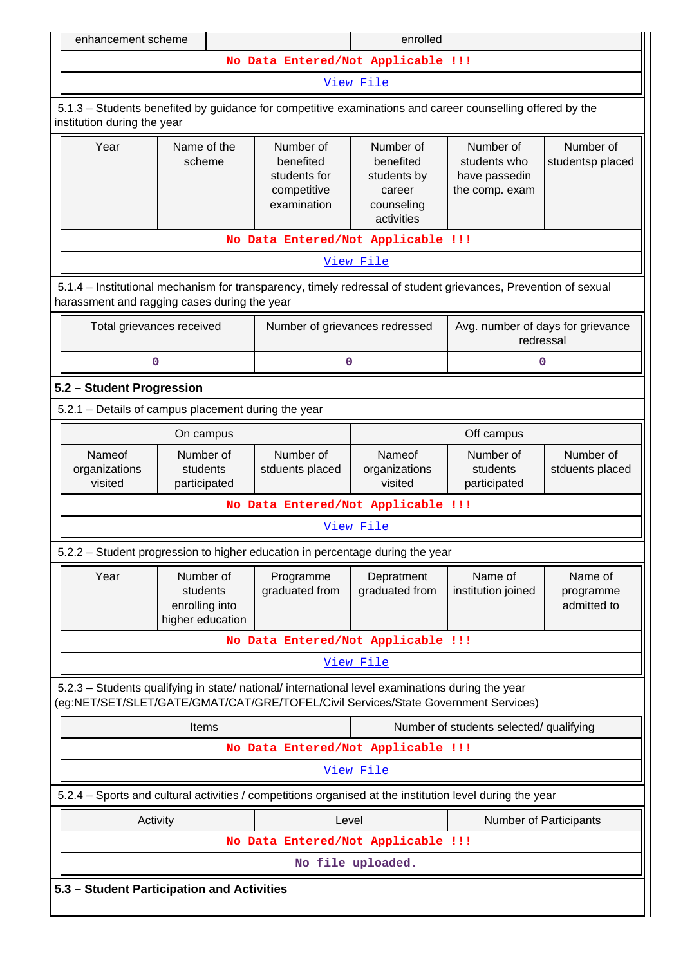| enhancement scheme                                                                                                                                                                     |                                                             |                                                                      | enrolled                                                                    |                                                              |                                     |
|----------------------------------------------------------------------------------------------------------------------------------------------------------------------------------------|-------------------------------------------------------------|----------------------------------------------------------------------|-----------------------------------------------------------------------------|--------------------------------------------------------------|-------------------------------------|
|                                                                                                                                                                                        |                                                             | No Data Entered/Not Applicable !!!                                   |                                                                             |                                                              |                                     |
|                                                                                                                                                                                        |                                                             |                                                                      | View File                                                                   |                                                              |                                     |
| 5.1.3 – Students benefited by guidance for competitive examinations and career counselling offered by the<br>institution during the year                                               |                                                             |                                                                      |                                                                             |                                                              |                                     |
| Year                                                                                                                                                                                   | Name of the<br>scheme                                       | Number of<br>benefited<br>students for<br>competitive<br>examination | Number of<br>benefited<br>students by<br>career<br>counseling<br>activities | Number of<br>students who<br>have passedin<br>the comp. exam | Number of<br>studentsp placed       |
|                                                                                                                                                                                        |                                                             | No Data Entered/Not Applicable !!!                                   |                                                                             |                                                              |                                     |
|                                                                                                                                                                                        |                                                             |                                                                      | View File                                                                   |                                                              |                                     |
| 5.1.4 – Institutional mechanism for transparency, timely redressal of student grievances, Prevention of sexual<br>harassment and ragging cases during the year                         |                                                             |                                                                      |                                                                             |                                                              |                                     |
| Total grievances received                                                                                                                                                              |                                                             | Number of grievances redressed                                       |                                                                             | Avg. number of days for grievance<br>redressal               |                                     |
| $\mathbf 0$                                                                                                                                                                            |                                                             | 0                                                                    |                                                                             | 0                                                            |                                     |
| 5.2 - Student Progression                                                                                                                                                              |                                                             |                                                                      |                                                                             |                                                              |                                     |
| 5.2.1 - Details of campus placement during the year                                                                                                                                    |                                                             |                                                                      |                                                                             |                                                              |                                     |
|                                                                                                                                                                                        | On campus                                                   |                                                                      |                                                                             | Off campus                                                   |                                     |
| Nameof<br>organizations<br>visited                                                                                                                                                     | Number of<br>students<br>participated                       | Number of<br>stduents placed                                         | Nameof<br>organizations<br>visited                                          | Number of<br>students<br>participated                        | Number of<br>stduents placed        |
|                                                                                                                                                                                        |                                                             | No Data Entered/Not Applicable !!!                                   |                                                                             |                                                              |                                     |
|                                                                                                                                                                                        |                                                             |                                                                      | View File                                                                   |                                                              |                                     |
| 5.2.2 - Student progression to higher education in percentage during the year                                                                                                          |                                                             |                                                                      |                                                                             |                                                              |                                     |
| Year                                                                                                                                                                                   | Number of<br>students<br>enrolling into<br>higher education | Programme<br>graduated from                                          | Depratment<br>graduated from                                                | Name of<br>institution joined                                | Name of<br>programme<br>admitted to |
|                                                                                                                                                                                        |                                                             | No Data Entered/Not Applicable !!!                                   |                                                                             |                                                              |                                     |
|                                                                                                                                                                                        |                                                             |                                                                      | View File                                                                   |                                                              |                                     |
| 5.2.3 - Students qualifying in state/ national/ international level examinations during the year<br>(eg:NET/SET/SLET/GATE/GMAT/CAT/GRE/TOFEL/Civil Services/State Government Services) |                                                             |                                                                      |                                                                             |                                                              |                                     |
|                                                                                                                                                                                        | Items                                                       |                                                                      |                                                                             | Number of students selected/ qualifying                      |                                     |
|                                                                                                                                                                                        |                                                             | No Data Entered/Not Applicable !!!                                   |                                                                             |                                                              |                                     |
|                                                                                                                                                                                        |                                                             |                                                                      | View File                                                                   |                                                              |                                     |
| 5.2.4 – Sports and cultural activities / competitions organised at the institution level during the year                                                                               |                                                             |                                                                      |                                                                             |                                                              |                                     |
| Activity                                                                                                                                                                               |                                                             | Level                                                                |                                                                             | Number of Participants                                       |                                     |
|                                                                                                                                                                                        |                                                             | No Data Entered/Not Applicable !!!                                   |                                                                             |                                                              |                                     |
|                                                                                                                                                                                        |                                                             |                                                                      | No file uploaded.                                                           |                                                              |                                     |
|                                                                                                                                                                                        | 5.3 - Student Participation and Activities                  |                                                                      |                                                                             |                                                              |                                     |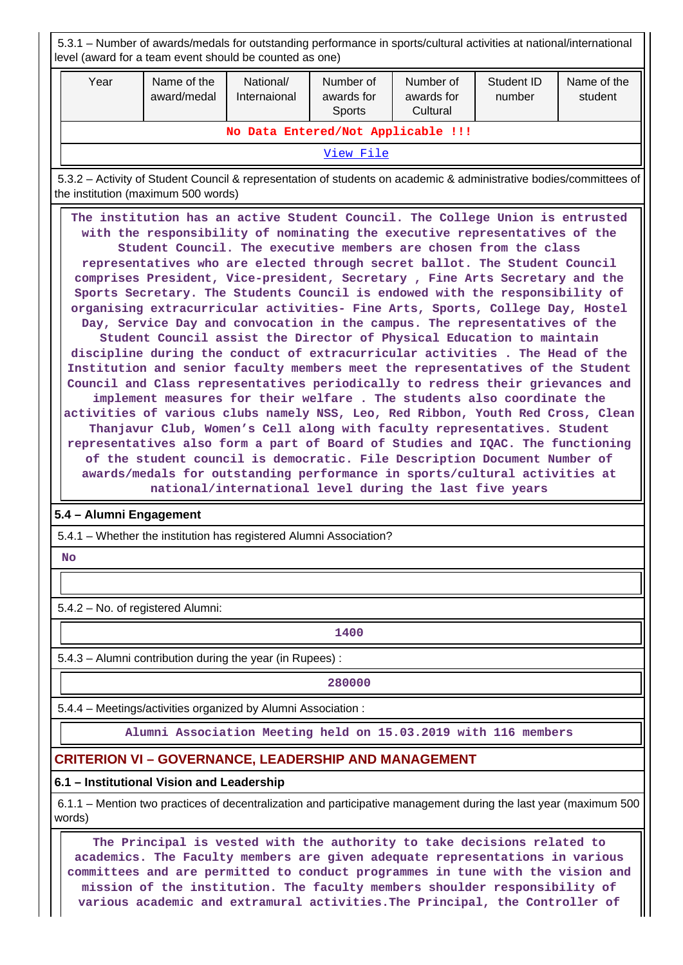|                                                                                                                                                                                                                                                                                                                                                                                                                                                                                                                                                                                                                                                                                                                                                                                                                                                                                                                                                                                                                                                                                                                                                                                                                                                                                                                                                                                                                                                                | 5.3.1 – Number of awards/medals for outstanding performance in sports/cultural activities at national/international<br>level (award for a team event should be counted as one)                                                                                                                                                                                                                          |                                                              |                           |                                                                    |                                     |                      |                                                                                                                    |
|----------------------------------------------------------------------------------------------------------------------------------------------------------------------------------------------------------------------------------------------------------------------------------------------------------------------------------------------------------------------------------------------------------------------------------------------------------------------------------------------------------------------------------------------------------------------------------------------------------------------------------------------------------------------------------------------------------------------------------------------------------------------------------------------------------------------------------------------------------------------------------------------------------------------------------------------------------------------------------------------------------------------------------------------------------------------------------------------------------------------------------------------------------------------------------------------------------------------------------------------------------------------------------------------------------------------------------------------------------------------------------------------------------------------------------------------------------------|---------------------------------------------------------------------------------------------------------------------------------------------------------------------------------------------------------------------------------------------------------------------------------------------------------------------------------------------------------------------------------------------------------|--------------------------------------------------------------|---------------------------|--------------------------------------------------------------------|-------------------------------------|----------------------|--------------------------------------------------------------------------------------------------------------------|
| Year                                                                                                                                                                                                                                                                                                                                                                                                                                                                                                                                                                                                                                                                                                                                                                                                                                                                                                                                                                                                                                                                                                                                                                                                                                                                                                                                                                                                                                                           |                                                                                                                                                                                                                                                                                                                                                                                                         | Name of the<br>award/medal                                   | National/<br>Internaional | Number of<br>awards for<br><b>Sports</b>                           | Number of<br>awards for<br>Cultural | Student ID<br>number | Name of the<br>student                                                                                             |
|                                                                                                                                                                                                                                                                                                                                                                                                                                                                                                                                                                                                                                                                                                                                                                                                                                                                                                                                                                                                                                                                                                                                                                                                                                                                                                                                                                                                                                                                |                                                                                                                                                                                                                                                                                                                                                                                                         |                                                              |                           | No Data Entered/Not Applicable !!!                                 |                                     |                      |                                                                                                                    |
|                                                                                                                                                                                                                                                                                                                                                                                                                                                                                                                                                                                                                                                                                                                                                                                                                                                                                                                                                                                                                                                                                                                                                                                                                                                                                                                                                                                                                                                                |                                                                                                                                                                                                                                                                                                                                                                                                         |                                                              |                           | View File                                                          |                                     |                      |                                                                                                                    |
|                                                                                                                                                                                                                                                                                                                                                                                                                                                                                                                                                                                                                                                                                                                                                                                                                                                                                                                                                                                                                                                                                                                                                                                                                                                                                                                                                                                                                                                                |                                                                                                                                                                                                                                                                                                                                                                                                         | the institution (maximum 500 words)                          |                           |                                                                    |                                     |                      | 5.3.2 – Activity of Student Council & representation of students on academic & administrative bodies/committees of |
| The institution has an active Student Council. The College Union is entrusted<br>with the responsibility of nominating the executive representatives of the<br>Student Council. The executive members are chosen from the class<br>representatives who are elected through secret ballot. The Student Council<br>comprises President, Vice-president, Secretary, Fine Arts Secretary and the<br>Sports Secretary. The Students Council is endowed with the responsibility of<br>organising extracurricular activities- Fine Arts, Sports, College Day, Hostel<br>Day, Service Day and convocation in the campus. The representatives of the<br>Student Council assist the Director of Physical Education to maintain<br>discipline during the conduct of extracurricular activities. The Head of the<br>Institution and senior faculty members meet the representatives of the Student<br>Council and Class representatives periodically to redress their grievances and<br>implement measures for their welfare. The students also coordinate the<br>activities of various clubs namely NSS, Leo, Red Ribbon, Youth Red Cross, Clean<br>Thanjavur Club, Women's Cell along with faculty representatives. Student<br>representatives also form a part of Board of Studies and IQAC. The functioning<br>of the student council is democratic. File Description Document Number of<br>awards/medals for outstanding performance in sports/cultural activities at |                                                                                                                                                                                                                                                                                                                                                                                                         |                                                              |                           |                                                                    |                                     |                      |                                                                                                                    |
|                                                                                                                                                                                                                                                                                                                                                                                                                                                                                                                                                                                                                                                                                                                                                                                                                                                                                                                                                                                                                                                                                                                                                                                                                                                                                                                                                                                                                                                                |                                                                                                                                                                                                                                                                                                                                                                                                         | 5.4 - Alumni Engagement                                      |                           |                                                                    |                                     |                      |                                                                                                                    |
|                                                                                                                                                                                                                                                                                                                                                                                                                                                                                                                                                                                                                                                                                                                                                                                                                                                                                                                                                                                                                                                                                                                                                                                                                                                                                                                                                                                                                                                                |                                                                                                                                                                                                                                                                                                                                                                                                         |                                                              |                           | 5.4.1 - Whether the institution has registered Alumni Association? |                                     |                      |                                                                                                                    |
| No                                                                                                                                                                                                                                                                                                                                                                                                                                                                                                                                                                                                                                                                                                                                                                                                                                                                                                                                                                                                                                                                                                                                                                                                                                                                                                                                                                                                                                                             |                                                                                                                                                                                                                                                                                                                                                                                                         |                                                              |                           |                                                                    |                                     |                      |                                                                                                                    |
|                                                                                                                                                                                                                                                                                                                                                                                                                                                                                                                                                                                                                                                                                                                                                                                                                                                                                                                                                                                                                                                                                                                                                                                                                                                                                                                                                                                                                                                                |                                                                                                                                                                                                                                                                                                                                                                                                         |                                                              |                           |                                                                    |                                     |                      |                                                                                                                    |
|                                                                                                                                                                                                                                                                                                                                                                                                                                                                                                                                                                                                                                                                                                                                                                                                                                                                                                                                                                                                                                                                                                                                                                                                                                                                                                                                                                                                                                                                |                                                                                                                                                                                                                                                                                                                                                                                                         | 5.4.2 - No. of registered Alumni:                            |                           |                                                                    |                                     |                      |                                                                                                                    |
|                                                                                                                                                                                                                                                                                                                                                                                                                                                                                                                                                                                                                                                                                                                                                                                                                                                                                                                                                                                                                                                                                                                                                                                                                                                                                                                                                                                                                                                                |                                                                                                                                                                                                                                                                                                                                                                                                         |                                                              |                           | 1400                                                               |                                     |                      |                                                                                                                    |
|                                                                                                                                                                                                                                                                                                                                                                                                                                                                                                                                                                                                                                                                                                                                                                                                                                                                                                                                                                                                                                                                                                                                                                                                                                                                                                                                                                                                                                                                |                                                                                                                                                                                                                                                                                                                                                                                                         | 5.4.3 - Alumni contribution during the year (in Rupees) :    |                           |                                                                    |                                     |                      |                                                                                                                    |
|                                                                                                                                                                                                                                                                                                                                                                                                                                                                                                                                                                                                                                                                                                                                                                                                                                                                                                                                                                                                                                                                                                                                                                                                                                                                                                                                                                                                                                                                |                                                                                                                                                                                                                                                                                                                                                                                                         |                                                              |                           | 280000                                                             |                                     |                      |                                                                                                                    |
|                                                                                                                                                                                                                                                                                                                                                                                                                                                                                                                                                                                                                                                                                                                                                                                                                                                                                                                                                                                                                                                                                                                                                                                                                                                                                                                                                                                                                                                                |                                                                                                                                                                                                                                                                                                                                                                                                         | 5.4.4 - Meetings/activities organized by Alumni Association: |                           |                                                                    |                                     |                      |                                                                                                                    |
|                                                                                                                                                                                                                                                                                                                                                                                                                                                                                                                                                                                                                                                                                                                                                                                                                                                                                                                                                                                                                                                                                                                                                                                                                                                                                                                                                                                                                                                                |                                                                                                                                                                                                                                                                                                                                                                                                         |                                                              |                           | Alumni Association Meeting held on 15.03.2019 with 116 members     |                                     |                      |                                                                                                                    |
|                                                                                                                                                                                                                                                                                                                                                                                                                                                                                                                                                                                                                                                                                                                                                                                                                                                                                                                                                                                                                                                                                                                                                                                                                                                                                                                                                                                                                                                                |                                                                                                                                                                                                                                                                                                                                                                                                         |                                                              |                           | <b>CRITERION VI - GOVERNANCE, LEADERSHIP AND MANAGEMENT</b>        |                                     |                      |                                                                                                                    |
|                                                                                                                                                                                                                                                                                                                                                                                                                                                                                                                                                                                                                                                                                                                                                                                                                                                                                                                                                                                                                                                                                                                                                                                                                                                                                                                                                                                                                                                                |                                                                                                                                                                                                                                                                                                                                                                                                         | 6.1 - Institutional Vision and Leadership                    |                           |                                                                    |                                     |                      |                                                                                                                    |
| words)                                                                                                                                                                                                                                                                                                                                                                                                                                                                                                                                                                                                                                                                                                                                                                                                                                                                                                                                                                                                                                                                                                                                                                                                                                                                                                                                                                                                                                                         |                                                                                                                                                                                                                                                                                                                                                                                                         |                                                              |                           |                                                                    |                                     |                      | 6.1.1 – Mention two practices of decentralization and participative management during the last year (maximum 500   |
|                                                                                                                                                                                                                                                                                                                                                                                                                                                                                                                                                                                                                                                                                                                                                                                                                                                                                                                                                                                                                                                                                                                                                                                                                                                                                                                                                                                                                                                                | The Principal is vested with the authority to take decisions related to<br>academics. The Faculty members are given adequate representations in various<br>committees and are permitted to conduct programmes in tune with the vision and<br>mission of the institution. The faculty members shoulder responsibility of<br>various academic and extramural activities. The Principal, the Controller of |                                                              |                           |                                                                    |                                     |                      |                                                                                                                    |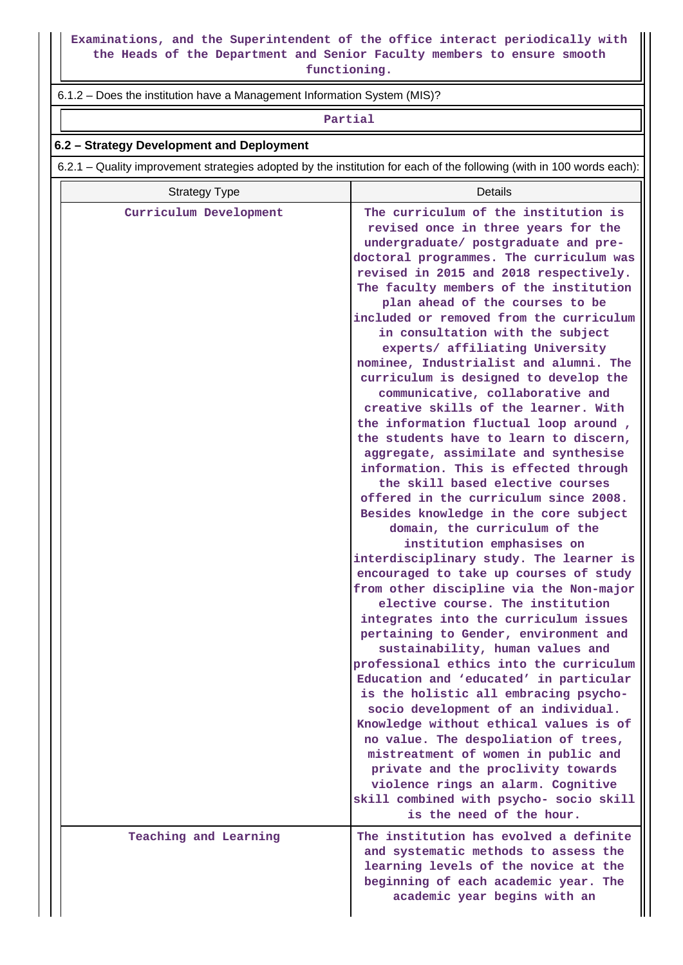**Examinations, and the Superintendent of the office interact periodically with the Heads of the Department and Senior Faculty members to ensure smooth functioning.**

### 6.1.2 – Does the institution have a Management Information System (MIS)?

#### **Partial**

#### **6.2 – Strategy Development and Deployment**

6.2.1 – Quality improvement strategies adopted by the institution for each of the following (with in 100 words each):

| <b>Strategy Type</b>   | Details                                                                                                                                                                                                                                                                                                                                                                                                                                                                                                                                                                                                                                                                                                                                                                                                                                                          |
|------------------------|------------------------------------------------------------------------------------------------------------------------------------------------------------------------------------------------------------------------------------------------------------------------------------------------------------------------------------------------------------------------------------------------------------------------------------------------------------------------------------------------------------------------------------------------------------------------------------------------------------------------------------------------------------------------------------------------------------------------------------------------------------------------------------------------------------------------------------------------------------------|
| Curriculum Development | The curriculum of the institution is<br>revised once in three years for the<br>undergraduate/ postgraduate and pre-<br>doctoral programmes. The curriculum was<br>revised in 2015 and 2018 respectively.<br>The faculty members of the institution<br>plan ahead of the courses to be<br>included or removed from the curriculum<br>in consultation with the subject<br>experts/ affiliating University<br>nominee, Industrialist and alumni. The<br>curriculum is designed to develop the<br>communicative, collaborative and<br>creative skills of the learner. With<br>the information fluctual loop around,<br>the students have to learn to discern,<br>aggregate, assimilate and synthesise<br>information. This is effected through<br>the skill based elective courses<br>offered in the curriculum since 2008.<br>Besides knowledge in the core subject |
|                        | domain, the curriculum of the<br>institution emphasises on<br>interdisciplinary study. The learner is<br>encouraged to take up courses of study                                                                                                                                                                                                                                                                                                                                                                                                                                                                                                                                                                                                                                                                                                                  |
|                        | from other discipline via the Non-major<br>elective course. The institution<br>integrates into the curriculum issues<br>pertaining to Gender, environment and                                                                                                                                                                                                                                                                                                                                                                                                                                                                                                                                                                                                                                                                                                    |
|                        | sustainability, human values and<br>professional ethics into the curriculum<br>Education and 'educated' in particular<br>is the holistic all embracing psycho-<br>socio development of an individual.                                                                                                                                                                                                                                                                                                                                                                                                                                                                                                                                                                                                                                                            |
|                        | Knowledge without ethical values is of<br>no value. The despoliation of trees,<br>mistreatment of women in public and<br>private and the proclivity towards<br>violence rings an alarm. Cognitive<br>skill combined with psycho- socio skill<br>is the need of the hour.                                                                                                                                                                                                                                                                                                                                                                                                                                                                                                                                                                                         |
| Teaching and Learning  | The institution has evolved a definite<br>and systematic methods to assess the<br>learning levels of the novice at the<br>beginning of each academic year. The<br>academic year begins with an                                                                                                                                                                                                                                                                                                                                                                                                                                                                                                                                                                                                                                                                   |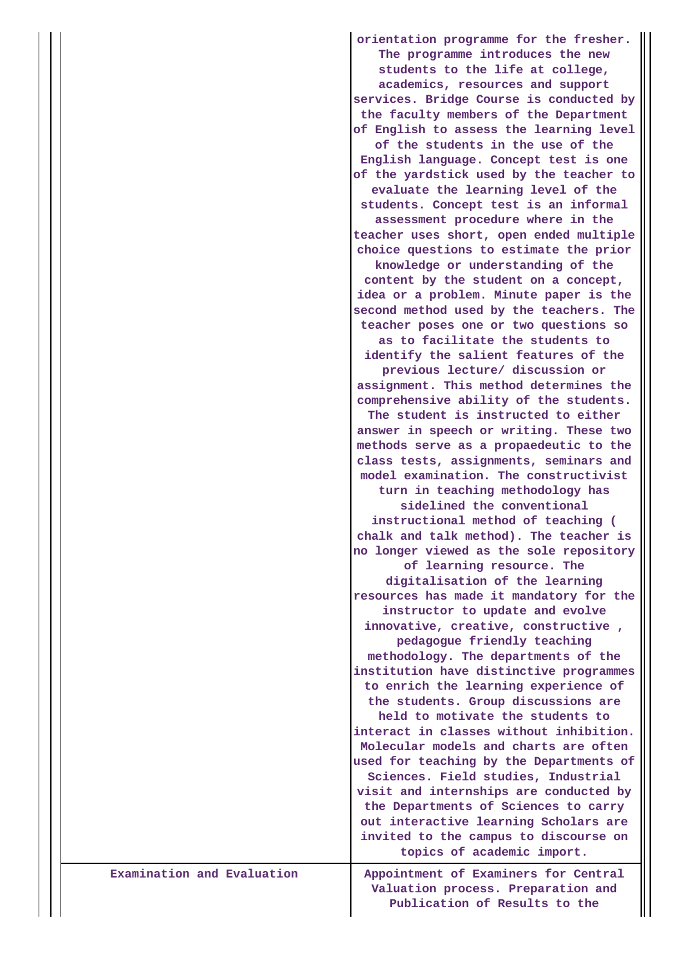|                            | orientation programme for the fresher.<br>The programme introduces the new<br>students to the life at college,<br>academics, resources and support<br>services. Bridge Course is conducted by<br>the faculty members of the Department<br>of English to assess the learning level<br>of the students in the use of the<br>English language. Concept test is one<br>of the yardstick used by the teacher to<br>evaluate the learning level of the<br>students. Concept test is an informal<br>assessment procedure where in the<br>teacher uses short, open ended multiple<br>choice questions to estimate the prior<br>knowledge or understanding of the<br>content by the student on a concept,<br>idea or a problem. Minute paper is the<br>second method used by the teachers. The<br>teacher poses one or two questions so<br>as to facilitate the students to<br>identify the salient features of the<br>previous lecture/ discussion or<br>assignment. This method determines the<br>comprehensive ability of the students.<br>The student is instructed to either<br>answer in speech or writing. These two<br>methods serve as a propaedeutic to the<br>class tests, assignments, seminars and<br>model examination. The constructivist<br>turn in teaching methodology has<br>sidelined the conventional<br>instructional method of teaching (<br>chalk and talk method). The teacher is<br>no longer viewed as the sole repository<br>of learning resource. The<br>digitalisation of the learning<br>resources has made it mandatory for the<br>instructor to update and evolve<br>innovative, creative, constructive,<br>pedagogue friendly teaching<br>methodology. The departments of the<br>institution have distinctive programmes<br>to enrich the learning experience of<br>the students. Group discussions are<br>held to motivate the students to<br>interact in classes without inhibition.<br>Molecular models and charts are often<br>used for teaching by the Departments of<br>Sciences. Field studies, Industrial<br>visit and internships are conducted by<br>the Departments of Sciences to carry<br>out interactive learning Scholars are<br>invited to the campus to discourse on |
|----------------------------|----------------------------------------------------------------------------------------------------------------------------------------------------------------------------------------------------------------------------------------------------------------------------------------------------------------------------------------------------------------------------------------------------------------------------------------------------------------------------------------------------------------------------------------------------------------------------------------------------------------------------------------------------------------------------------------------------------------------------------------------------------------------------------------------------------------------------------------------------------------------------------------------------------------------------------------------------------------------------------------------------------------------------------------------------------------------------------------------------------------------------------------------------------------------------------------------------------------------------------------------------------------------------------------------------------------------------------------------------------------------------------------------------------------------------------------------------------------------------------------------------------------------------------------------------------------------------------------------------------------------------------------------------------------------------------------------------------------------------------------------------------------------------------------------------------------------------------------------------------------------------------------------------------------------------------------------------------------------------------------------------------------------------------------------------------------------------------------------------------------------------------------------------------------------------------------------------------------|
| Examination and Evaluation | topics of academic import.                                                                                                                                                                                                                                                                                                                                                                                                                                                                                                                                                                                                                                                                                                                                                                                                                                                                                                                                                                                                                                                                                                                                                                                                                                                                                                                                                                                                                                                                                                                                                                                                                                                                                                                                                                                                                                                                                                                                                                                                                                                                                                                                                                                     |
|                            | Appointment of Examiners for Central<br>Valuation process. Preparation and<br>Publication of Results to the                                                                                                                                                                                                                                                                                                                                                                                                                                                                                                                                                                                                                                                                                                                                                                                                                                                                                                                                                                                                                                                                                                                                                                                                                                                                                                                                                                                                                                                                                                                                                                                                                                                                                                                                                                                                                                                                                                                                                                                                                                                                                                    |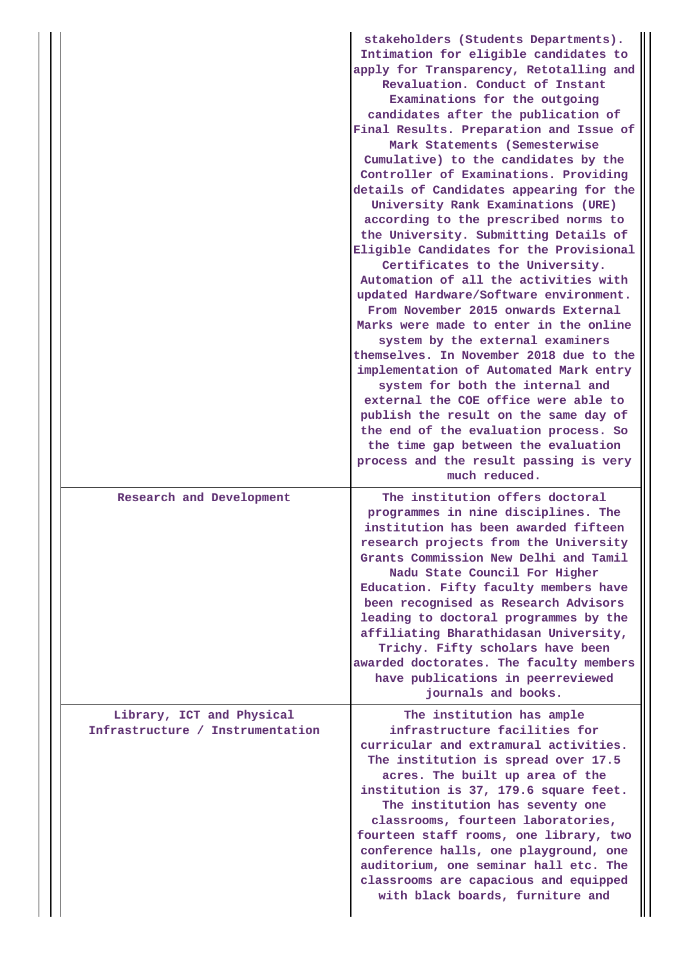|                                                               | stakeholders (Students Departments).<br>Intimation for eligible candidates to<br>apply for Transparency, Retotalling and<br>Revaluation. Conduct of Instant<br>Examinations for the outgoing<br>candidates after the publication of<br>Final Results. Preparation and Issue of<br>Mark Statements (Semesterwise<br>Cumulative) to the candidates by the<br>Controller of Examinations. Providing<br>details of Candidates appearing for the<br>University Rank Examinations (URE)<br>according to the prescribed norms to<br>the University. Submitting Details of<br>Eligible Candidates for the Provisional<br>Certificates to the University.<br>Automation of all the activities with<br>updated Hardware/Software environment.<br>From November 2015 onwards External<br>Marks were made to enter in the online<br>system by the external examiners<br>themselves. In November 2018 due to the<br>implementation of Automated Mark entry<br>system for both the internal and<br>external the COE office were able to<br>publish the result on the same day of<br>the end of the evaluation process. So<br>the time gap between the evaluation<br>process and the result passing is very<br>much reduced. |
|---------------------------------------------------------------|---------------------------------------------------------------------------------------------------------------------------------------------------------------------------------------------------------------------------------------------------------------------------------------------------------------------------------------------------------------------------------------------------------------------------------------------------------------------------------------------------------------------------------------------------------------------------------------------------------------------------------------------------------------------------------------------------------------------------------------------------------------------------------------------------------------------------------------------------------------------------------------------------------------------------------------------------------------------------------------------------------------------------------------------------------------------------------------------------------------------------------------------------------------------------------------------------------------|
| Research and Development                                      | The institution offers doctoral<br>programmes in nine disciplines. The<br>institution has been awarded fifteen<br>research projects from the University<br>Grants Commission New Delhi and Tamil<br>Nadu State Council For Higher<br>Education. Fifty faculty members have<br>been recognised as Research Advisors<br>leading to doctoral programmes by the<br>affiliating Bharathidasan University,<br>Trichy. Fifty scholars have been<br>awarded doctorates. The faculty members<br>have publications in peerreviewed<br>journals and books.                                                                                                                                                                                                                                                                                                                                                                                                                                                                                                                                                                                                                                                               |
| Library, ICT and Physical<br>Infrastructure / Instrumentation | The institution has ample<br>infrastructure facilities for<br>curricular and extramural activities.<br>The institution is spread over 17.5<br>acres. The built up area of the<br>institution is 37, 179.6 square feet.<br>The institution has seventy one<br>classrooms, fourteen laboratories,<br>fourteen staff rooms, one library, two<br>conference halls, one playground, one<br>auditorium, one seminar hall etc. The<br>classrooms are capacious and equipped<br>with black boards, furniture and                                                                                                                                                                                                                                                                                                                                                                                                                                                                                                                                                                                                                                                                                                      |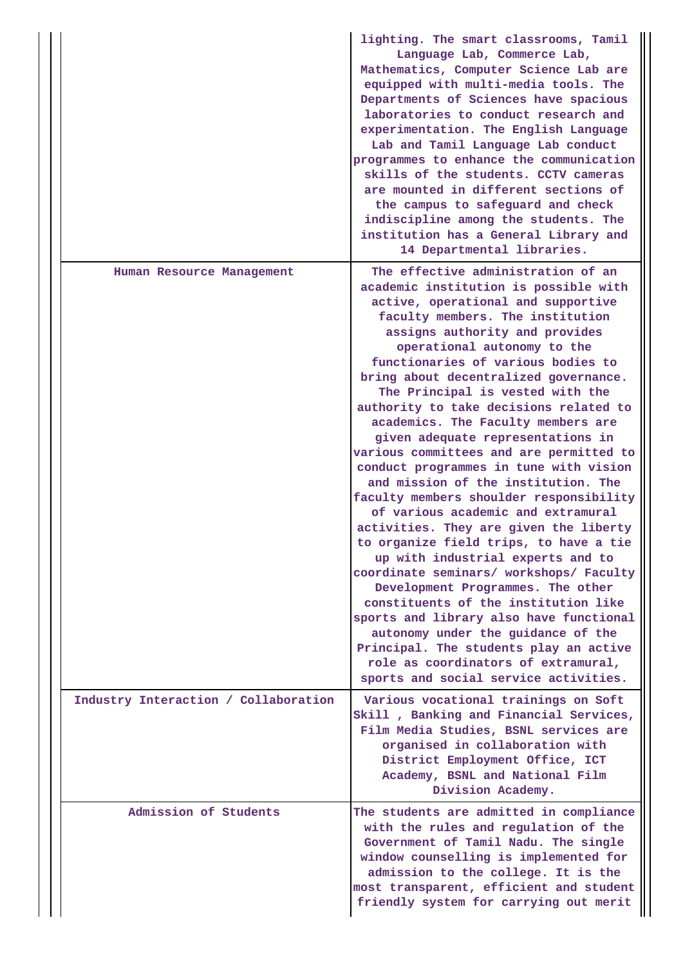|                                      | lighting. The smart classrooms, Tamil<br>Language Lab, Commerce Lab,<br>Mathematics, Computer Science Lab are<br>equipped with multi-media tools. The<br>Departments of Sciences have spacious<br>laboratories to conduct research and<br>experimentation. The English Language<br>Lab and Tamil Language Lab conduct<br>programmes to enhance the communication<br>skills of the students. CCTV cameras<br>are mounted in different sections of<br>the campus to safeguard and check<br>indiscipline among the students. The<br>institution has a General Library and<br>14 Departmental libraries.                                                                                                                                                                                                                                                                                                                                                                                                                                                                                           |
|--------------------------------------|------------------------------------------------------------------------------------------------------------------------------------------------------------------------------------------------------------------------------------------------------------------------------------------------------------------------------------------------------------------------------------------------------------------------------------------------------------------------------------------------------------------------------------------------------------------------------------------------------------------------------------------------------------------------------------------------------------------------------------------------------------------------------------------------------------------------------------------------------------------------------------------------------------------------------------------------------------------------------------------------------------------------------------------------------------------------------------------------|
| Human Resource Management            | The effective administration of an<br>academic institution is possible with<br>active, operational and supportive<br>faculty members. The institution<br>assigns authority and provides<br>operational autonomy to the<br>functionaries of various bodies to<br>bring about decentralized governance.<br>The Principal is vested with the<br>authority to take decisions related to<br>academics. The Faculty members are<br>given adequate representations in<br>various committees and are permitted to<br>conduct programmes in tune with vision<br>and mission of the institution. The<br>faculty members shoulder responsibility<br>of various academic and extramural<br>activities. They are given the liberty<br>to organize field trips, to have a tie<br>up with industrial experts and to<br>coordinate seminars/ workshops/ Faculty<br>Development Programmes. The other<br>constituents of the institution like<br>sports and library also have functional<br>autonomy under the guidance of the<br>Principal. The students play an active<br>role as coordinators of extramural, |
| Industry Interaction / Collaboration | sports and social service activities.<br>Various vocational trainings on Soft<br>Skill, Banking and Financial Services,<br>Film Media Studies, BSNL services are<br>organised in collaboration with<br>District Employment Office, ICT<br>Academy, BSNL and National Film<br>Division Academy.                                                                                                                                                                                                                                                                                                                                                                                                                                                                                                                                                                                                                                                                                                                                                                                                 |
| Admission of Students                | The students are admitted in compliance<br>with the rules and regulation of the<br>Government of Tamil Nadu. The single<br>window counselling is implemented for<br>admission to the college. It is the<br>most transparent, efficient and student<br>friendly system for carrying out merit                                                                                                                                                                                                                                                                                                                                                                                                                                                                                                                                                                                                                                                                                                                                                                                                   |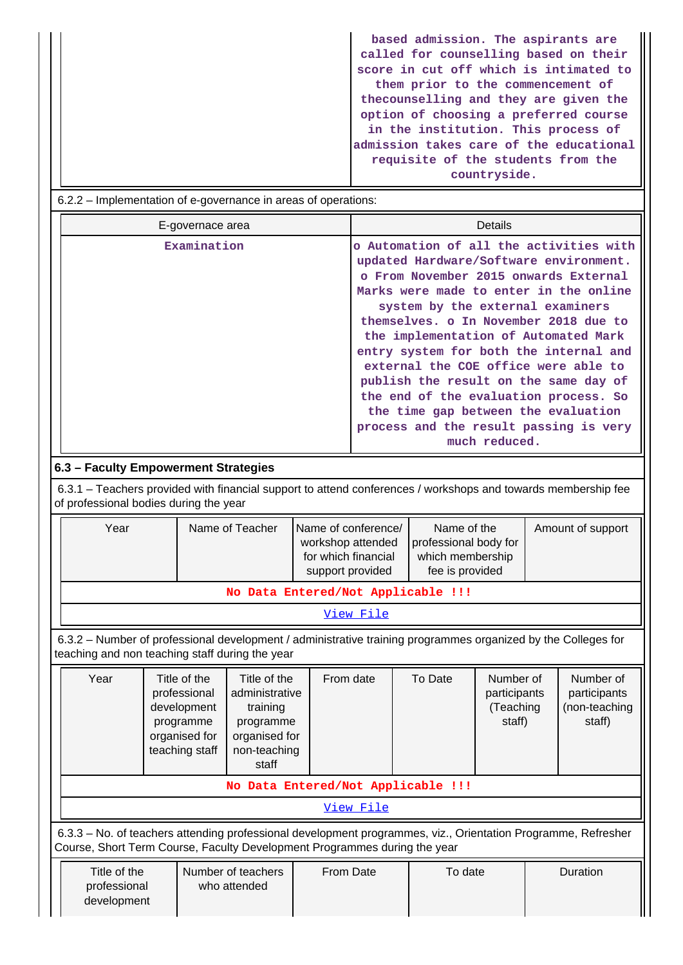**based admission. The aspirants are called for counselling based on their score in cut off which is intimated to them prior to the commencement of thecounselling and they are given the option of choosing a preferred course in the institution. This process of admission takes care of the educational requisite of the students from the countryside.**

|                                      |                              |  |                                                                                                                                                                                                                                                                                                                                                                                                                                                                                                                                                                                                                                                                                                                                                                                                                                                                                                                                                                                                                                                                                                                               |                                                                             | Details |                   |         |                                                  |  |                                                      |
|--------------------------------------|------------------------------|--|-------------------------------------------------------------------------------------------------------------------------------------------------------------------------------------------------------------------------------------------------------------------------------------------------------------------------------------------------------------------------------------------------------------------------------------------------------------------------------------------------------------------------------------------------------------------------------------------------------------------------------------------------------------------------------------------------------------------------------------------------------------------------------------------------------------------------------------------------------------------------------------------------------------------------------------------------------------------------------------------------------------------------------------------------------------------------------------------------------------------------------|-----------------------------------------------------------------------------|---------|-------------------|---------|--------------------------------------------------|--|------------------------------------------------------|
| 6.3 - Faculty Empowerment Strategies |                              |  | o Automation of all the activities with<br>updated Hardware/Software environment.<br>o From November 2015 onwards External<br>Marks were made to enter in the online<br>system by the external examiners<br>themselves. o In November 2018 due to<br>the implementation of Automated Mark<br>entry system for both the internal and<br>external the COE office were able to<br>publish the result on the same day of<br>the end of the evaluation process. So<br>the time gap between the evaluation<br>process and the result passing is very<br>much reduced.                                                                                                                                                                                                                                                                                                                                                                                                                                                                                                                                                               |                                                                             |         |                   |         |                                                  |  |                                                      |
|                                      |                              |  |                                                                                                                                                                                                                                                                                                                                                                                                                                                                                                                                                                                                                                                                                                                                                                                                                                                                                                                                                                                                                                                                                                                               |                                                                             |         |                   |         |                                                  |  |                                                      |
|                                      |                              |  |                                                                                                                                                                                                                                                                                                                                                                                                                                                                                                                                                                                                                                                                                                                                                                                                                                                                                                                                                                                                                                                                                                                               |                                                                             |         |                   |         |                                                  |  |                                                      |
|                                      | Year                         |  | 6.2.2 – Implementation of e-governance in areas of operations:<br>E-governace area<br>Examination<br>6.3.1 – Teachers provided with financial support to attend conferences / workshops and towards membership fee<br>of professional bodies during the year<br>Name of Teacher<br>Name of conference/<br>workshop attended<br>for which financial<br>support provided<br>No Data Entered/Not Applicable !!!<br>View File<br>6.3.2 - Number of professional development / administrative training programmes organized by the Colleges for<br>teaching and non teaching staff during the year<br>Title of the<br>To Date<br>Title of the<br>From date<br>professional<br>administrative<br>development<br>training<br>programme<br>programme<br>organised for<br>organised for<br>teaching staff<br>non-teaching<br>staff<br>No Data Entered/Not Applicable !!!<br>View File<br>6.3.3 - No. of teachers attending professional development programmes, viz., Orientation Programme, Refresher<br>Course, Short Term Course, Faculty Development Programmes during the year<br>Number of teachers<br>From Date<br>who attended | Name of the<br>professional body for<br>which membership<br>fee is provided |         | Amount of support |         |                                                  |  |                                                      |
|                                      |                              |  |                                                                                                                                                                                                                                                                                                                                                                                                                                                                                                                                                                                                                                                                                                                                                                                                                                                                                                                                                                                                                                                                                                                               |                                                                             |         |                   |         |                                                  |  |                                                      |
|                                      |                              |  |                                                                                                                                                                                                                                                                                                                                                                                                                                                                                                                                                                                                                                                                                                                                                                                                                                                                                                                                                                                                                                                                                                                               |                                                                             |         |                   |         |                                                  |  |                                                      |
|                                      |                              |  |                                                                                                                                                                                                                                                                                                                                                                                                                                                                                                                                                                                                                                                                                                                                                                                                                                                                                                                                                                                                                                                                                                                               |                                                                             |         |                   |         |                                                  |  |                                                      |
|                                      | Year                         |  |                                                                                                                                                                                                                                                                                                                                                                                                                                                                                                                                                                                                                                                                                                                                                                                                                                                                                                                                                                                                                                                                                                                               |                                                                             |         |                   |         | Number of<br>participants<br>(Teaching<br>staff) |  | Number of<br>participants<br>(non-teaching<br>staff) |
|                                      |                              |  |                                                                                                                                                                                                                                                                                                                                                                                                                                                                                                                                                                                                                                                                                                                                                                                                                                                                                                                                                                                                                                                                                                                               |                                                                             |         |                   |         |                                                  |  |                                                      |
|                                      |                              |  |                                                                                                                                                                                                                                                                                                                                                                                                                                                                                                                                                                                                                                                                                                                                                                                                                                                                                                                                                                                                                                                                                                                               |                                                                             |         |                   |         |                                                  |  |                                                      |
|                                      |                              |  |                                                                                                                                                                                                                                                                                                                                                                                                                                                                                                                                                                                                                                                                                                                                                                                                                                                                                                                                                                                                                                                                                                                               |                                                                             |         |                   |         |                                                  |  |                                                      |
|                                      | Title of the<br>professional |  |                                                                                                                                                                                                                                                                                                                                                                                                                                                                                                                                                                                                                                                                                                                                                                                                                                                                                                                                                                                                                                                                                                                               |                                                                             |         |                   | To date |                                                  |  | Duration                                             |

development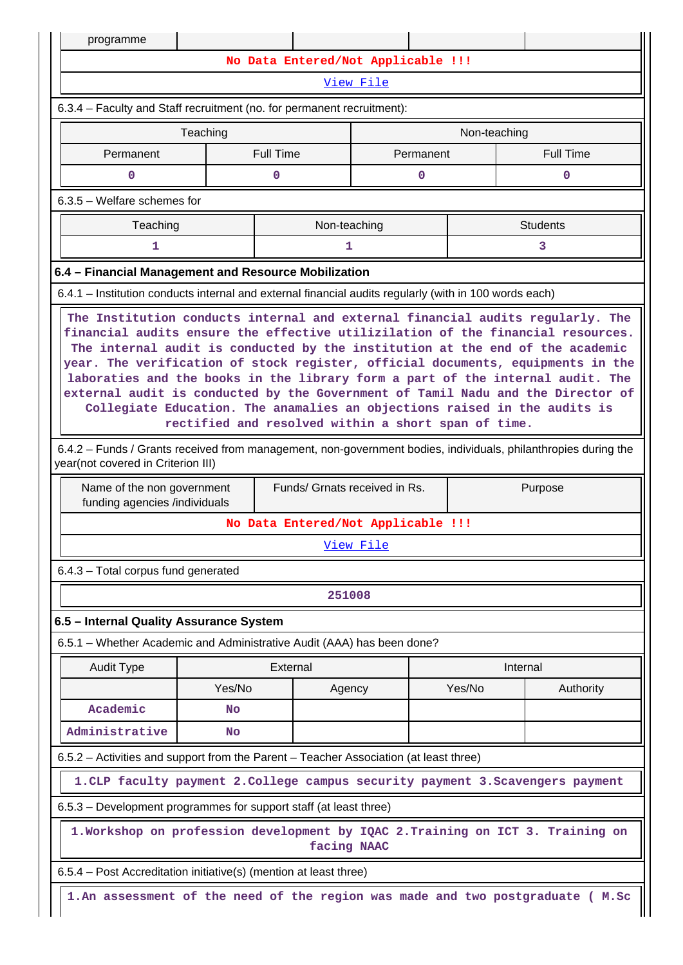| programme                                                                                                                                            |                                                                                                                                                                                                                                                                                                                                                                                                                                                                                                                                                                                                                                                |          |                                    |        |                                                                                 |  |  |  |  |  |  |
|------------------------------------------------------------------------------------------------------------------------------------------------------|------------------------------------------------------------------------------------------------------------------------------------------------------------------------------------------------------------------------------------------------------------------------------------------------------------------------------------------------------------------------------------------------------------------------------------------------------------------------------------------------------------------------------------------------------------------------------------------------------------------------------------------------|----------|------------------------------------|--------|---------------------------------------------------------------------------------|--|--|--|--|--|--|
|                                                                                                                                                      | No Data Entered/Not Applicable !!!                                                                                                                                                                                                                                                                                                                                                                                                                                                                                                                                                                                                             |          |                                    |        |                                                                                 |  |  |  |  |  |  |
| View File                                                                                                                                            |                                                                                                                                                                                                                                                                                                                                                                                                                                                                                                                                                                                                                                                |          |                                    |        |                                                                                 |  |  |  |  |  |  |
| 6.3.4 – Faculty and Staff recruitment (no. for permanent recruitment):                                                                               |                                                                                                                                                                                                                                                                                                                                                                                                                                                                                                                                                                                                                                                |          |                                    |        |                                                                                 |  |  |  |  |  |  |
|                                                                                                                                                      | Teaching<br>Non-teaching                                                                                                                                                                                                                                                                                                                                                                                                                                                                                                                                                                                                                       |          |                                    |        |                                                                                 |  |  |  |  |  |  |
| <b>Full Time</b><br>Permanent<br><b>Full Time</b><br>Permanent                                                                                       |                                                                                                                                                                                                                                                                                                                                                                                                                                                                                                                                                                                                                                                |          |                                    |        |                                                                                 |  |  |  |  |  |  |
| 0<br>0<br>0<br>0                                                                                                                                     |                                                                                                                                                                                                                                                                                                                                                                                                                                                                                                                                                                                                                                                |          |                                    |        |                                                                                 |  |  |  |  |  |  |
| $6.3.5$ – Welfare schemes for                                                                                                                        |                                                                                                                                                                                                                                                                                                                                                                                                                                                                                                                                                                                                                                                |          |                                    |        |                                                                                 |  |  |  |  |  |  |
|                                                                                                                                                      | Teaching<br>Non-teaching<br><b>Students</b>                                                                                                                                                                                                                                                                                                                                                                                                                                                                                                                                                                                                    |          |                                    |        |                                                                                 |  |  |  |  |  |  |
| 1<br>1<br>3                                                                                                                                          |                                                                                                                                                                                                                                                                                                                                                                                                                                                                                                                                                                                                                                                |          |                                    |        |                                                                                 |  |  |  |  |  |  |
| 6.4 - Financial Management and Resource Mobilization                                                                                                 |                                                                                                                                                                                                                                                                                                                                                                                                                                                                                                                                                                                                                                                |          |                                    |        |                                                                                 |  |  |  |  |  |  |
| 6.4.1 – Institution conducts internal and external financial audits regularly (with in 100 words each)                                               |                                                                                                                                                                                                                                                                                                                                                                                                                                                                                                                                                                                                                                                |          |                                    |        |                                                                                 |  |  |  |  |  |  |
|                                                                                                                                                      | The Institution conducts internal and external financial audits regularly. The<br>financial audits ensure the effective utilizilation of the financial resources.<br>The internal audit is conducted by the institution at the end of the academic<br>year. The verification of stock register, official documents, equipments in the<br>laboraties and the books in the library form a part of the internal audit. The<br>external audit is conducted by the Government of Tamil Nadu and the Director of<br>Collegiate Education. The anamalies an objections raised in the audits is<br>rectified and resolved within a short span of time. |          |                                    |        |                                                                                 |  |  |  |  |  |  |
| 6.4.2 - Funds / Grants received from management, non-government bodies, individuals, philanthropies during the<br>year(not covered in Criterion III) |                                                                                                                                                                                                                                                                                                                                                                                                                                                                                                                                                                                                                                                |          |                                    |        |                                                                                 |  |  |  |  |  |  |
|                                                                                                                                                      | Funds/ Grnats received in Rs.<br>Purpose<br>Name of the non government<br>funding agencies /individuals                                                                                                                                                                                                                                                                                                                                                                                                                                                                                                                                        |          |                                    |        |                                                                                 |  |  |  |  |  |  |
|                                                                                                                                                      |                                                                                                                                                                                                                                                                                                                                                                                                                                                                                                                                                                                                                                                |          | No Data Entered/Not Applicable !!! |        |                                                                                 |  |  |  |  |  |  |
|                                                                                                                                                      |                                                                                                                                                                                                                                                                                                                                                                                                                                                                                                                                                                                                                                                |          | View File                          |        |                                                                                 |  |  |  |  |  |  |
| 6.4.3 - Total corpus fund generated                                                                                                                  |                                                                                                                                                                                                                                                                                                                                                                                                                                                                                                                                                                                                                                                |          |                                    |        |                                                                                 |  |  |  |  |  |  |
|                                                                                                                                                      |                                                                                                                                                                                                                                                                                                                                                                                                                                                                                                                                                                                                                                                |          | 251008                             |        |                                                                                 |  |  |  |  |  |  |
| 6.5 - Internal Quality Assurance System                                                                                                              |                                                                                                                                                                                                                                                                                                                                                                                                                                                                                                                                                                                                                                                |          |                                    |        |                                                                                 |  |  |  |  |  |  |
| 6.5.1 – Whether Academic and Administrative Audit (AAA) has been done?                                                                               |                                                                                                                                                                                                                                                                                                                                                                                                                                                                                                                                                                                                                                                |          |                                    |        |                                                                                 |  |  |  |  |  |  |
| <b>Audit Type</b>                                                                                                                                    |                                                                                                                                                                                                                                                                                                                                                                                                                                                                                                                                                                                                                                                | External |                                    |        | Internal                                                                        |  |  |  |  |  |  |
|                                                                                                                                                      | Yes/No                                                                                                                                                                                                                                                                                                                                                                                                                                                                                                                                                                                                                                         |          | Agency                             | Yes/No | Authority                                                                       |  |  |  |  |  |  |
| Academic                                                                                                                                             | <b>No</b>                                                                                                                                                                                                                                                                                                                                                                                                                                                                                                                                                                                                                                      |          |                                    |        |                                                                                 |  |  |  |  |  |  |
| Administrative                                                                                                                                       | <b>No</b>                                                                                                                                                                                                                                                                                                                                                                                                                                                                                                                                                                                                                                      |          |                                    |        |                                                                                 |  |  |  |  |  |  |
| 6.5.2 - Activities and support from the Parent - Teacher Association (at least three)                                                                |                                                                                                                                                                                                                                                                                                                                                                                                                                                                                                                                                                                                                                                |          |                                    |        |                                                                                 |  |  |  |  |  |  |
|                                                                                                                                                      |                                                                                                                                                                                                                                                                                                                                                                                                                                                                                                                                                                                                                                                |          |                                    |        | 1. CLP faculty payment 2. College campus security payment 3. Scavengers payment |  |  |  |  |  |  |
| 6.5.3 – Development programmes for support staff (at least three)                                                                                    |                                                                                                                                                                                                                                                                                                                                                                                                                                                                                                                                                                                                                                                |          |                                    |        |                                                                                 |  |  |  |  |  |  |
|                                                                                                                                                      |                                                                                                                                                                                                                                                                                                                                                                                                                                                                                                                                                                                                                                                |          | facing NAAC                        |        | 1. Workshop on profession development by IQAC 2. Training on ICT 3. Training on |  |  |  |  |  |  |
| 6.5.4 - Post Accreditation initiative(s) (mention at least three)                                                                                    |                                                                                                                                                                                                                                                                                                                                                                                                                                                                                                                                                                                                                                                |          |                                    |        |                                                                                 |  |  |  |  |  |  |
|                                                                                                                                                      | 1.An assessment of the need of the region was made and two postgraduate ( M.Sc                                                                                                                                                                                                                                                                                                                                                                                                                                                                                                                                                                 |          |                                    |        |                                                                                 |  |  |  |  |  |  |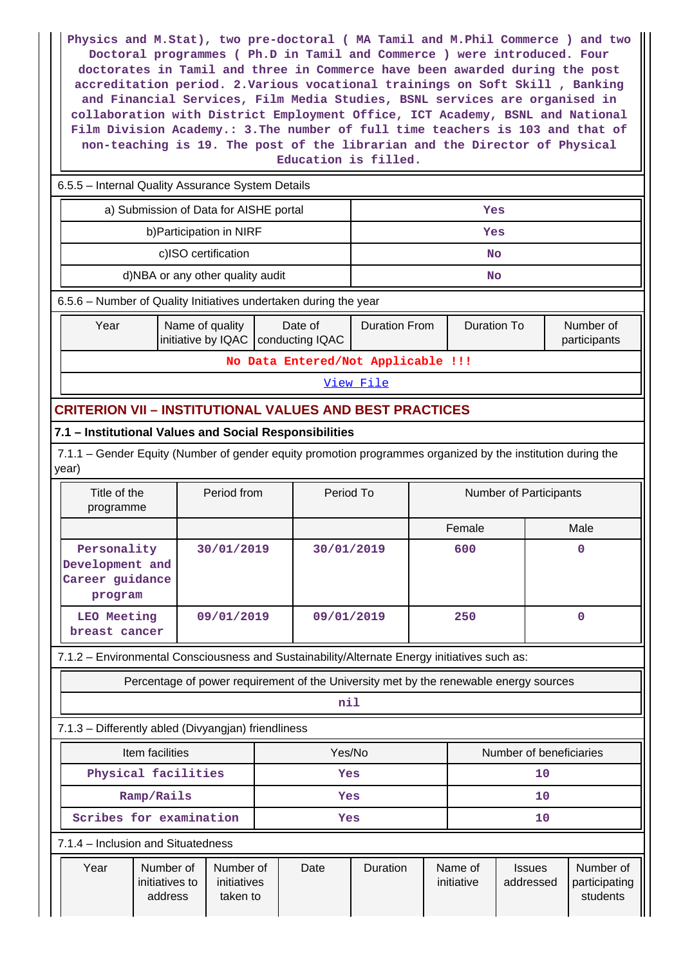**Physics and M.Stat), two pre-doctoral ( MA Tamil and M.Phil Commerce ) and two Doctoral programmes ( Ph.D in Tamil and Commerce ) were introduced. Four doctorates in Tamil and three in Commerce have been awarded during the post accreditation period. 2.Various vocational trainings on Soft Skill , Banking and Financial Services, Film Media Studies, BSNL services are organised in collaboration with District Employment Office, ICT Academy, BSNL and National Film Division Academy.: 3.The number of full time teachers is 103 and that of non-teaching is 19. The post of the librarian and the Director of Physical Education is filled.**

| 6.5.5 - Internal Quality Assurance System Details                                                                    |                                                                                              |                                            |           |                           |  |  |  |  |  |  |
|----------------------------------------------------------------------------------------------------------------------|----------------------------------------------------------------------------------------------|--------------------------------------------|-----------|---------------------------|--|--|--|--|--|--|
| a) Submission of Data for AISHE portal                                                                               |                                                                                              | Yes                                        |           |                           |  |  |  |  |  |  |
| b) Participation in NIRF                                                                                             |                                                                                              |                                            | Yes       |                           |  |  |  |  |  |  |
| c)ISO certification                                                                                                  |                                                                                              |                                            | <b>No</b> |                           |  |  |  |  |  |  |
| d)NBA or any other quality audit                                                                                     |                                                                                              |                                            | No        |                           |  |  |  |  |  |  |
|                                                                                                                      | 6.5.6 - Number of Quality Initiatives undertaken during the year                             |                                            |           |                           |  |  |  |  |  |  |
| Name of quality<br>Year                                                                                              | Date of<br>initiative by IQAC   conducting IQAC                                              | <b>Duration To</b><br><b>Duration From</b> |           | Number of<br>participants |  |  |  |  |  |  |
|                                                                                                                      | No Data Entered/Not Applicable !!!                                                           |                                            |           |                           |  |  |  |  |  |  |
|                                                                                                                      | View File                                                                                    |                                            |           |                           |  |  |  |  |  |  |
|                                                                                                                      | <b>CRITERION VII - INSTITUTIONAL VALUES AND BEST PRACTICES</b>                               |                                            |           |                           |  |  |  |  |  |  |
| 7.1 - Institutional Values and Social Responsibilities                                                               |                                                                                              |                                            |           |                           |  |  |  |  |  |  |
| 7.1.1 – Gender Equity (Number of gender equity promotion programmes organized by the institution during the<br>year) |                                                                                              |                                            |           |                           |  |  |  |  |  |  |
| Title of the<br>Period from<br>programme                                                                             | Period To                                                                                    | Number of Participants                     |           |                           |  |  |  |  |  |  |
|                                                                                                                      |                                                                                              |                                            | Female    | Male                      |  |  |  |  |  |  |
| Personality<br>30/01/2019<br>Development and<br>Career guidance<br>program                                           |                                                                                              | 30/01/2019                                 | 600       | $\mathbf 0$               |  |  |  |  |  |  |
| LEO Meeting<br>09/01/2019<br>breast cancer                                                                           |                                                                                              | 09/01/2019                                 | 250       | $\overline{0}$            |  |  |  |  |  |  |
|                                                                                                                      | 7.1.2 - Environmental Consciousness and Sustainability/Alternate Energy initiatives such as: |                                            |           |                           |  |  |  |  |  |  |
| Percentage of power requirement of the University met by the renewable energy sources                                |                                                                                              |                                            |           |                           |  |  |  |  |  |  |
|                                                                                                                      | nil                                                                                          |                                            |           |                           |  |  |  |  |  |  |
| 7.1.3 - Differently abled (Divyangjan) friendliness                                                                  |                                                                                              |                                            |           |                           |  |  |  |  |  |  |
|                                                                                                                      |                                                                                              |                                            |           |                           |  |  |  |  |  |  |

| Item facilities<br>Physical facilities |                         |                                        |                                      | Yes/No<br><b>Yes</b> |      |          |    | Number of beneficiaries<br>10 |                            |                                        |  |  |
|----------------------------------------|-------------------------|----------------------------------------|--------------------------------------|----------------------|------|----------|----|-------------------------------|----------------------------|----------------------------------------|--|--|
|                                        |                         |                                        |                                      |                      |      |          |    |                               |                            |                                        |  |  |
|                                        | Scribes for examination |                                        |                                      | <b>Yes</b>           |      |          | 10 |                               |                            |                                        |  |  |
| 7.1.4 – Inclusion and Situatedness     |                         |                                        |                                      |                      |      |          |    |                               |                            |                                        |  |  |
|                                        | Year                    | Number of<br>initiatives to<br>address | Number of<br>initiatives<br>taken to |                      | Date | Duration |    | Name of<br>initiative         | <b>Issues</b><br>addressed | Number of<br>participating<br>students |  |  |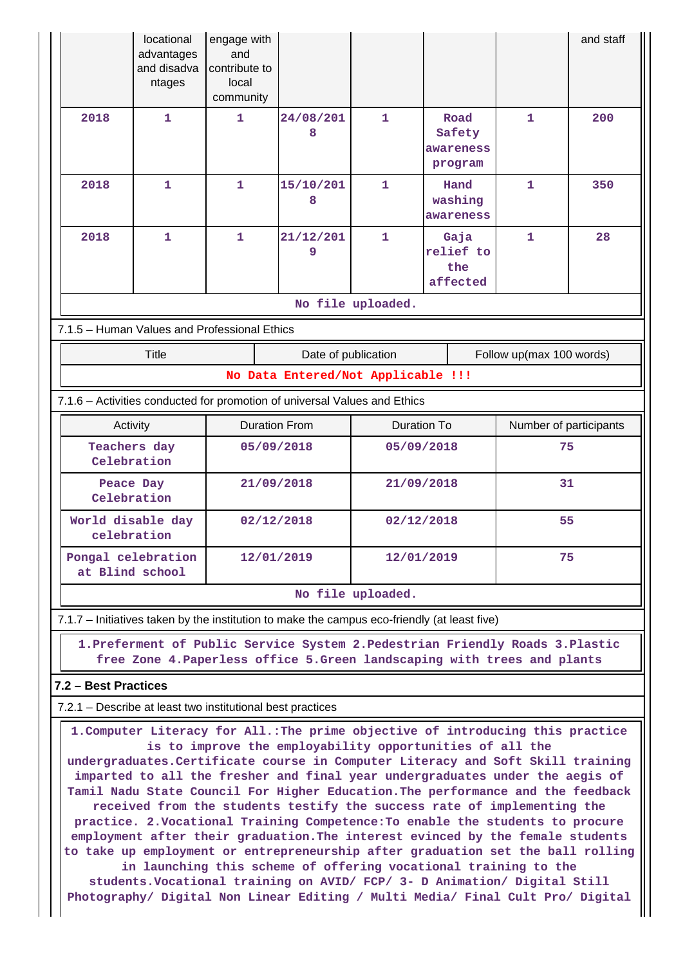|                      | locational<br>advantages<br>and disadva<br>ntages                                                                                                                                                                                                                                                                                                                                                                                                                                                                                                                                                                                                                                                                                                                                                                                                                                                                                                                     | engage with<br>and<br>contribute to<br>local<br>community |                                                                                                                                                            |                                           |                                        |                          | and staff |  |  |
|----------------------|-----------------------------------------------------------------------------------------------------------------------------------------------------------------------------------------------------------------------------------------------------------------------------------------------------------------------------------------------------------------------------------------------------------------------------------------------------------------------------------------------------------------------------------------------------------------------------------------------------------------------------------------------------------------------------------------------------------------------------------------------------------------------------------------------------------------------------------------------------------------------------------------------------------------------------------------------------------------------|-----------------------------------------------------------|------------------------------------------------------------------------------------------------------------------------------------------------------------|-------------------------------------------|----------------------------------------|--------------------------|-----------|--|--|
| 2018                 | $\mathbf{1}$<br>$\mathbf{1}$<br>1<br>$\mathbf{1}$                                                                                                                                                                                                                                                                                                                                                                                                                                                                                                                                                                                                                                                                                                                                                                                                                                                                                                                     |                                                           | 24/08/201<br>8                                                                                                                                             | 1                                         | Road<br>Safety<br>awareness<br>program | $\mathbf{1}$             | 200       |  |  |
| 2018                 |                                                                                                                                                                                                                                                                                                                                                                                                                                                                                                                                                                                                                                                                                                                                                                                                                                                                                                                                                                       |                                                           | 15/10/201<br>8                                                                                                                                             |                                           | 1<br>Hand<br>washing<br>awareness      |                          | 350       |  |  |
| 2018<br>$\mathbf{1}$ |                                                                                                                                                                                                                                                                                                                                                                                                                                                                                                                                                                                                                                                                                                                                                                                                                                                                                                                                                                       | $\mathbf{1}$                                              | 21/12/201<br>9                                                                                                                                             | 1<br>Gaja<br>relief to<br>the<br>affected |                                        | $\mathbf{1}$             | 28        |  |  |
|                      | 7.1.5 - Human Values and Professional Ethics                                                                                                                                                                                                                                                                                                                                                                                                                                                                                                                                                                                                                                                                                                                                                                                                                                                                                                                          |                                                           |                                                                                                                                                            | No file uploaded.                         |                                        |                          |           |  |  |
|                      | <b>Title</b>                                                                                                                                                                                                                                                                                                                                                                                                                                                                                                                                                                                                                                                                                                                                                                                                                                                                                                                                                          |                                                           | Date of publication                                                                                                                                        |                                           |                                        | Follow up(max 100 words) |           |  |  |
|                      |                                                                                                                                                                                                                                                                                                                                                                                                                                                                                                                                                                                                                                                                                                                                                                                                                                                                                                                                                                       |                                                           | No Data Entered/Not Applicable !!!                                                                                                                         |                                           |                                        |                          |           |  |  |
|                      |                                                                                                                                                                                                                                                                                                                                                                                                                                                                                                                                                                                                                                                                                                                                                                                                                                                                                                                                                                       |                                                           | 7.1.6 - Activities conducted for promotion of universal Values and Ethics                                                                                  |                                           |                                        |                          |           |  |  |
|                      | Activity                                                                                                                                                                                                                                                                                                                                                                                                                                                                                                                                                                                                                                                                                                                                                                                                                                                                                                                                                              |                                                           | <b>Duration From</b>                                                                                                                                       | <b>Duration To</b>                        |                                        | Number of participants   |           |  |  |
|                      | Teachers day<br>Celebration                                                                                                                                                                                                                                                                                                                                                                                                                                                                                                                                                                                                                                                                                                                                                                                                                                                                                                                                           |                                                           | 05/09/2018                                                                                                                                                 | 75<br>05/09/2018                          |                                        |                          |           |  |  |
|                      | Peace Day<br>Celebration                                                                                                                                                                                                                                                                                                                                                                                                                                                                                                                                                                                                                                                                                                                                                                                                                                                                                                                                              |                                                           | 21/09/2018<br>21/09/2018                                                                                                                                   |                                           |                                        | 31                       |           |  |  |
|                      | World disable day<br>celebration                                                                                                                                                                                                                                                                                                                                                                                                                                                                                                                                                                                                                                                                                                                                                                                                                                                                                                                                      |                                                           | 02/12/2018                                                                                                                                                 | 55<br>02/12/2018                          |                                        |                          |           |  |  |
|                      | Pongal celebration<br>at Blind school                                                                                                                                                                                                                                                                                                                                                                                                                                                                                                                                                                                                                                                                                                                                                                                                                                                                                                                                 |                                                           | 12/01/2019<br>12/01/2019                                                                                                                                   |                                           |                                        | 75                       |           |  |  |
|                      |                                                                                                                                                                                                                                                                                                                                                                                                                                                                                                                                                                                                                                                                                                                                                                                                                                                                                                                                                                       |                                                           |                                                                                                                                                            | No file uploaded.                         |                                        |                          |           |  |  |
|                      |                                                                                                                                                                                                                                                                                                                                                                                                                                                                                                                                                                                                                                                                                                                                                                                                                                                                                                                                                                       |                                                           | 7.1.7 – Initiatives taken by the institution to make the campus eco-friendly (at least five)                                                               |                                           |                                        |                          |           |  |  |
|                      |                                                                                                                                                                                                                                                                                                                                                                                                                                                                                                                                                                                                                                                                                                                                                                                                                                                                                                                                                                       |                                                           | 1. Preferment of Public Service System 2. Pedestrian Friendly Roads 3. Plastic<br>free Zone 4. Paperless office 5. Green landscaping with trees and plants |                                           |                                        |                          |           |  |  |
| 7.2 - Best Practices |                                                                                                                                                                                                                                                                                                                                                                                                                                                                                                                                                                                                                                                                                                                                                                                                                                                                                                                                                                       |                                                           |                                                                                                                                                            |                                           |                                        |                          |           |  |  |
|                      | 7.2.1 – Describe at least two institutional best practices                                                                                                                                                                                                                                                                                                                                                                                                                                                                                                                                                                                                                                                                                                                                                                                                                                                                                                            |                                                           |                                                                                                                                                            |                                           |                                        |                          |           |  |  |
|                      | 1. Computer Literacy for All.: The prime objective of introducing this practice<br>is to improve the employability opportunities of all the<br>undergraduates. Certificate course in Computer Literacy and Soft Skill training<br>imparted to all the fresher and final year undergraduates under the aegis of<br>Tamil Nadu State Council For Higher Education. The performance and the feedback<br>received from the students testify the success rate of implementing the<br>practice. 2. Vocational Training Competence: To enable the students to procure<br>employment after their graduation. The interest evinced by the female students<br>to take up employment or entrepreneurship after graduation set the ball rolling<br>in launching this scheme of offering vocational training to the<br>students. Vocational training on AVID/ FCP/ 3- D Animation/ Digital Still<br>Photography/ Digital Non Linear Editing / Multi Media/ Final Cult Pro/ Digital |                                                           |                                                                                                                                                            |                                           |                                        |                          |           |  |  |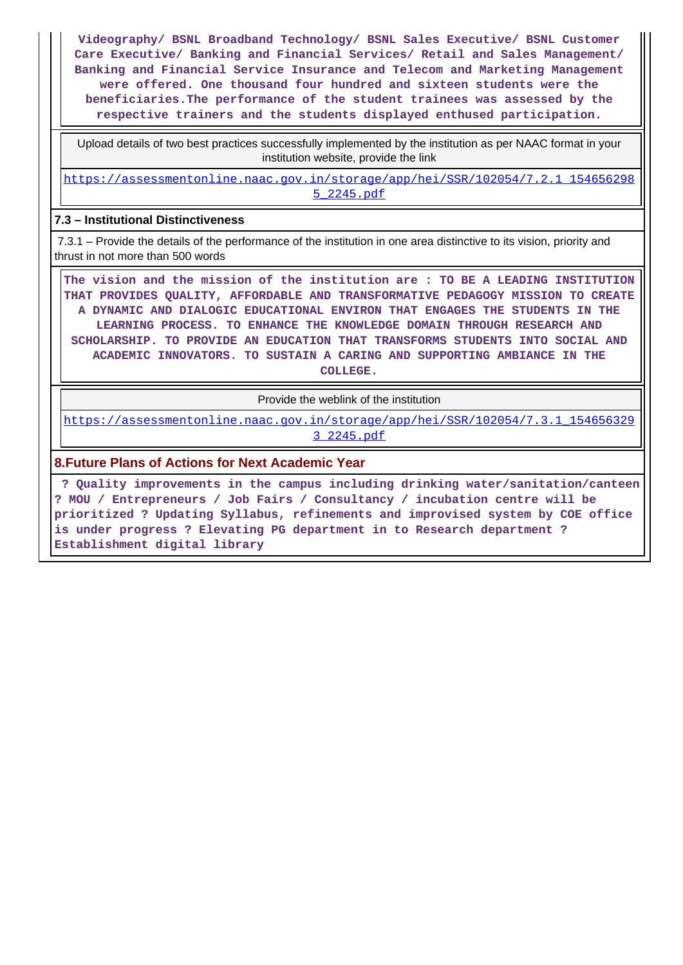**Videography/ BSNL Broadband Technology/ BSNL Sales Executive/ BSNL Customer Care Executive/ Banking and Financial Services/ Retail and Sales Management/ Banking and Financial Service Insurance and Telecom and Marketing Management were offered. One thousand four hundred and sixteen students were the beneficiaries.The performance of the student trainees was assessed by the respective trainers and the students displayed enthused participation.**

 Upload details of two best practices successfully implemented by the institution as per NAAC format in your institution website, provide the link

[https://assessmentonline.naac.gov.in/storage/app/hei/SSR/102054/7.2.1\\_154656298](https://assessmentonline.naac.gov.in/storage/app/hei/SSR/102054/7.2.1_1546562985_2245.pdf) [5\\_2245.pdf](https://assessmentonline.naac.gov.in/storage/app/hei/SSR/102054/7.2.1_1546562985_2245.pdf)

### **7.3 – Institutional Distinctiveness**

 7.3.1 – Provide the details of the performance of the institution in one area distinctive to its vision, priority and thrust in not more than 500 words

 **The vision and the mission of the institution are : TO BE A LEADING INSTITUTION THAT PROVIDES QUALITY, AFFORDABLE AND TRANSFORMATIVE PEDAGOGY MISSION TO CREATE A DYNAMIC AND DIALOGIC EDUCATIONAL ENVIRON THAT ENGAGES THE STUDENTS IN THE LEARNING PROCESS. TO ENHANCE THE KNOWLEDGE DOMAIN THROUGH RESEARCH AND SCHOLARSHIP. TO PROVIDE AN EDUCATION THAT TRANSFORMS STUDENTS INTO SOCIAL AND ACADEMIC INNOVATORS. TO SUSTAIN A CARING AND SUPPORTING AMBIANCE IN THE COLLEGE.**

Provide the weblink of the institution

[https://assessmentonline.naac.gov.in/storage/app/hei/SSR/102054/7.3.1\\_154656329](https://assessmentonline.naac.gov.in/storage/app/hei/SSR/102054/7.3.1_1546563293_2245.pdf) [3\\_2245.pdf](https://assessmentonline.naac.gov.in/storage/app/hei/SSR/102054/7.3.1_1546563293_2245.pdf)

#### **8.Future Plans of Actions for Next Academic Year**

 **? Quality improvements in the campus including drinking water/sanitation/canteen ? MOU / Entrepreneurs / Job Fairs / Consultancy / incubation centre will be prioritized ? Updating Syllabus, refinements and improvised system by COE office is under progress ? Elevating PG department in to Research department ? Establishment digital library**